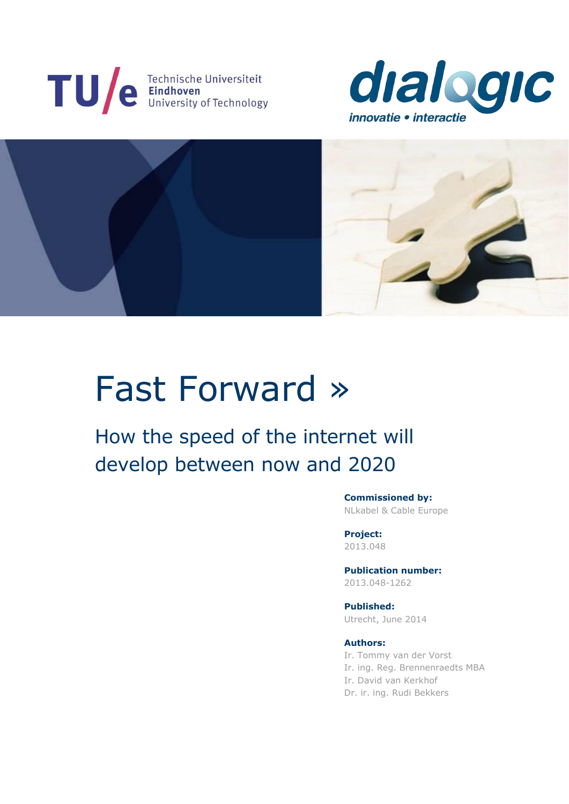





# Fast Forward »

# How the speed of the internet will develop between now and 2020

**Commissioned by:** NLkabel & Cable Europe

**Project:** 2013.048

**Publication number:** 2013.048-1262

**Published:** Utrecht, June 2014

#### **Authors:**

Ir. Tommy van der Vorst Ir. ing. Reg. Brennenraedts MBA Ir. David van Kerkhof Dr. ir. ing. Rudi Bekkers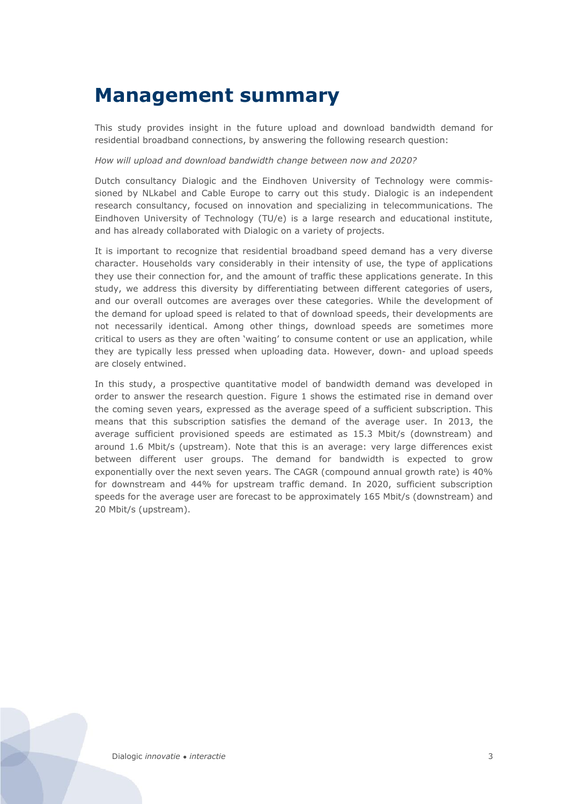# <span id="page-1-0"></span>**Management summary**

This study provides insight in the future upload and download bandwidth demand for residential broadband connections, by answering the following research question:

#### *How will upload and download bandwidth change between now and 2020?*

Dutch consultancy Dialogic and the Eindhoven University of Technology were commissioned by NLkabel and Cable Europe to carry out this study. Dialogic is an independent research consultancy, focused on innovation and specializing in telecommunications. The Eindhoven University of Technology (TU/e) is a large research and educational institute, and has already collaborated with Dialogic on a variety of projects.

It is important to recognize that residential broadband speed demand has a very diverse character. Households vary considerably in their intensity of use, the type of applications they use their connection for, and the amount of traffic these applications generate. In this study, we address this diversity by differentiating between different categories of users, and our overall outcomes are averages over these categories. While the development of the demand for upload speed is related to that of download speeds, their developments are not necessarily identical. Among other things, download speeds are sometimes more critical to users as they are often 'waiting' to consume content or use an application, while they are typically less pressed when uploading data. However, down- and upload speeds are closely entwined.

In this study, a prospective quantitative model of bandwidth demand was developed in order to answer the research question. [Figure 1](#page-2-0) shows the estimated rise in demand over the coming seven years, expressed as the average speed of a sufficient subscription. This means that this subscription satisfies the demand of the average user. In 2013, the average sufficient provisioned speeds are estimated as 15.3 Mbit/s (downstream) and around 1.6 Mbit/s (upstream). Note that this is an average: very large differences exist between different user groups. The demand for bandwidth is expected to grow exponentially over the next seven years. The CAGR (compound annual growth rate) is 40% for downstream and 44% for upstream traffic demand. In 2020, sufficient subscription speeds for the average user are forecast to be approximately 165 Mbit/s (downstream) and 20 Mbit/s (upstream).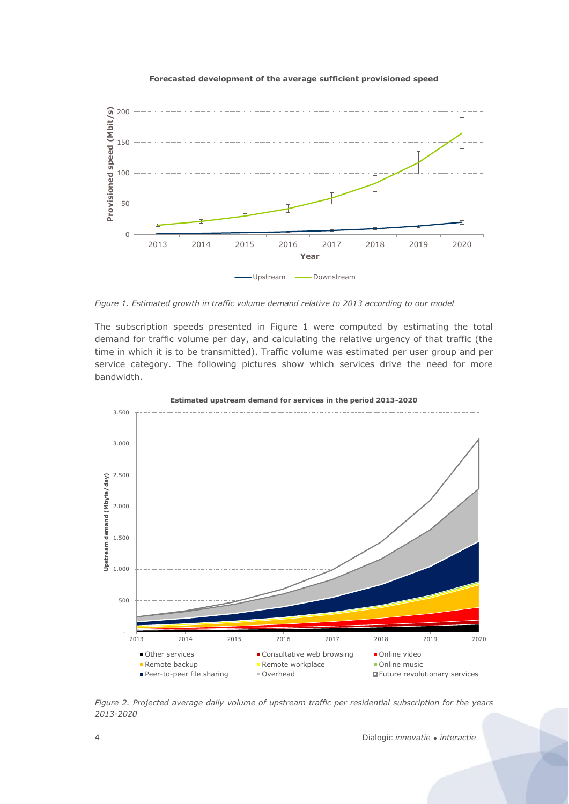



<span id="page-2-0"></span>*Figure 1. Estimated growth in traffic volume demand relative to 2013 according to our model*

The subscription speeds presented in [Figure 1](#page-2-0) were computed by estimating the total demand for traffic volume per day, and calculating the relative urgency of that traffic (the time in which it is to be transmitted). Traffic volume was estimated per user group and per service category. The following pictures show which services drive the need for more bandwidth.



**Estimated upstream demand for services in the period 2013-2020**

*Figure 2. Projected average daily volume of upstream traffic per residential subscription for the years 2013-2020*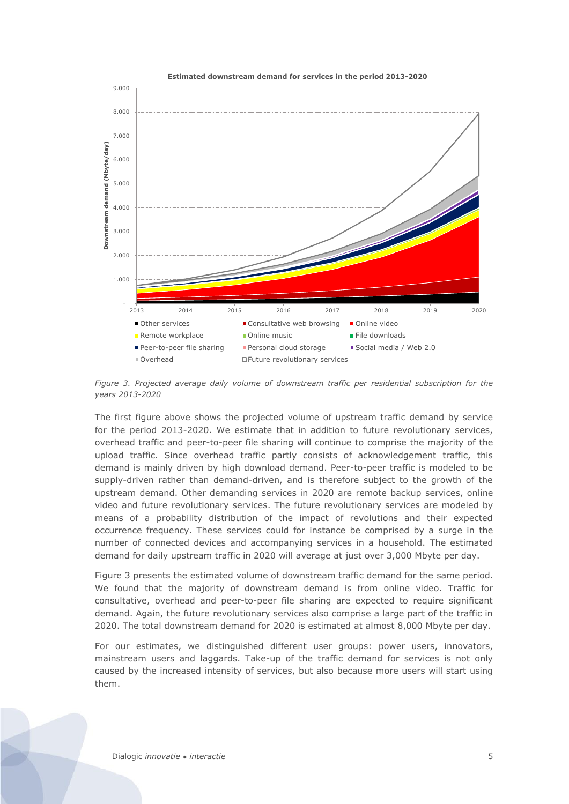

<span id="page-3-0"></span>*Figure 3. Projected average daily volume of downstream traffic per residential subscription for the years 2013-2020*

The first figure above shows the projected volume of upstream traffic demand by service for the period 2013-2020. We estimate that in addition to future revolutionary services, overhead traffic and peer-to-peer file sharing will continue to comprise the majority of the upload traffic. Since overhead traffic partly consists of acknowledgement traffic, this demand is mainly driven by high download demand. Peer-to-peer traffic is modeled to be supply-driven rather than demand-driven, and is therefore subject to the growth of the upstream demand. Other demanding services in 2020 are remote backup services, online video and future revolutionary services. The future revolutionary services are modeled by means of a probability distribution of the impact of revolutions and their expected occurrence frequency. These services could for instance be comprised by a surge in the number of connected devices and accompanying services in a household. The estimated demand for daily upstream traffic in 2020 will average at just over 3,000 Mbyte per day.

[Figure 3](#page-3-0) presents the estimated volume of downstream traffic demand for the same period. We found that the majority of downstream demand is from online video. Traffic for consultative, overhead and peer-to-peer file sharing are expected to require significant demand. Again, the future revolutionary services also comprise a large part of the traffic in 2020. The total downstream demand for 2020 is estimated at almost 8,000 Mbyte per day.

For our estimates, we distinguished different user groups: power users, innovators, mainstream users and laggards. Take-up of the traffic demand for services is not only caused by the increased intensity of services, but also because more users will start using them.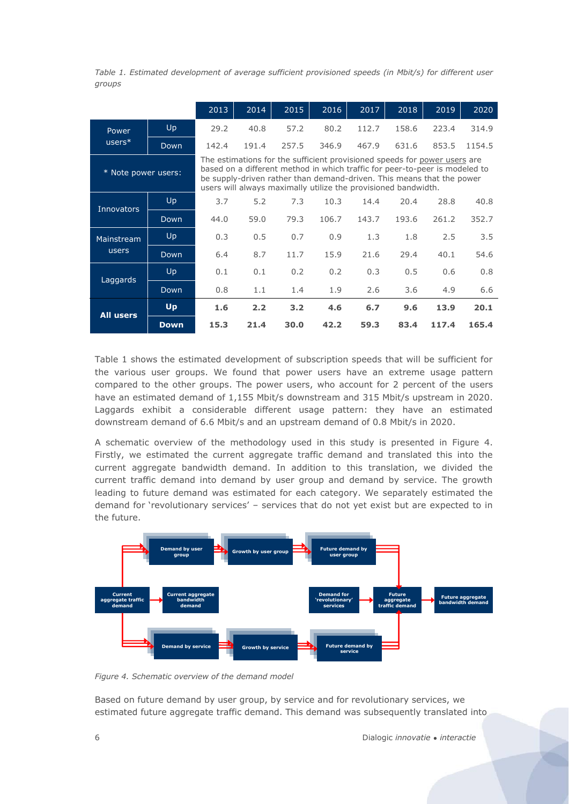<span id="page-4-0"></span>*Table 1. Estimated development of average sufficient provisioned speeds (in Mbit/s) for different user groups*

|                     |             | 2013  | 2014                                                                                                                                                                                                                                                                                                | 2015  | 2016  | 2017  | 2018  | 2019  | 2020   |
|---------------------|-------------|-------|-----------------------------------------------------------------------------------------------------------------------------------------------------------------------------------------------------------------------------------------------------------------------------------------------------|-------|-------|-------|-------|-------|--------|
| Power               | Up          | 29.2  | 40.8                                                                                                                                                                                                                                                                                                | 57.2  | 80.2  | 112.7 | 158.6 | 223.4 | 314.9  |
| $users*$            | Down        | 142.4 | 191.4                                                                                                                                                                                                                                                                                               | 257.5 | 346.9 | 467.9 | 631.6 | 853.5 | 1154.5 |
| * Note power users: |             |       | The estimations for the sufficient provisioned speeds for power users are<br>based on a different method in which traffic for peer-to-peer is modeled to<br>be supply-driven rather than demand-driven. This means that the power<br>users will always maximally utilize the provisioned bandwidth. |       |       |       |       |       |        |
| <b>Innovators</b>   | Up          | 3.7   | 5.2                                                                                                                                                                                                                                                                                                 | 7.3   | 10.3  | 14.4  | 20.4  | 28.8  | 40.8   |
|                     | Down        | 44.0  | 59.0                                                                                                                                                                                                                                                                                                | 79.3  | 106.7 | 143.7 | 193.6 | 261.2 | 352.7  |
| Mainstream          | Up          | 0.3   | 0.5                                                                                                                                                                                                                                                                                                 | 0.7   | 0.9   | 1.3   | 1.8   | 2.5   | 3.5    |
| users               | Down        | 6.4   | 8.7                                                                                                                                                                                                                                                                                                 | 11.7  | 15.9  | 21.6  | 29.4  | 40.1  | 54.6   |
| Laggards            | Up          | 0.1   | 0.1                                                                                                                                                                                                                                                                                                 | 0.2   | 0.2   | 0.3   | 0.5   | 0.6   | 0.8    |
|                     | Down        | 0.8   | 1.1                                                                                                                                                                                                                                                                                                 | 1.4   | 1.9   | 2.6   | 3.6   | 4.9   | 6.6    |
| <b>All users</b>    | <b>Up</b>   | 1.6   | 2.2                                                                                                                                                                                                                                                                                                 | 3.2   | 4.6   | 6.7   | 9.6   | 13.9  | 20.1   |
|                     | <b>Down</b> | 15.3  | 21.4                                                                                                                                                                                                                                                                                                | 30.0  | 42.2  | 59.3  | 83.4  | 117.4 | 165.4  |

[Table 1](#page-4-0) shows the estimated development of subscription speeds that will be sufficient for the various user groups. We found that power users have an extreme usage pattern compared to the other groups. The power users, who account for 2 percent of the users have an estimated demand of 1,155 Mbit/s downstream and 315 Mbit/s upstream in 2020. Laggards exhibit a considerable different usage pattern: they have an estimated downstream demand of 6.6 Mbit/s and an upstream demand of 0.8 Mbit/s in 2020.

A schematic overview of the methodology used in this study is presented in [Figure 4.](#page-4-1) Firstly, we estimated the current aggregate traffic demand and translated this into the current aggregate bandwidth demand. In addition to this translation, we divided the current traffic demand into demand by user group and demand by service. The growth leading to future demand was estimated for each category. We separately estimated the demand for 'revolutionary services' – services that do not yet exist but are expected to in the future.



<span id="page-4-1"></span>*Figure 4. Schematic overview of the demand model*

Based on future demand by user group, by service and for revolutionary services, we estimated future aggregate traffic demand. This demand was subsequently translated into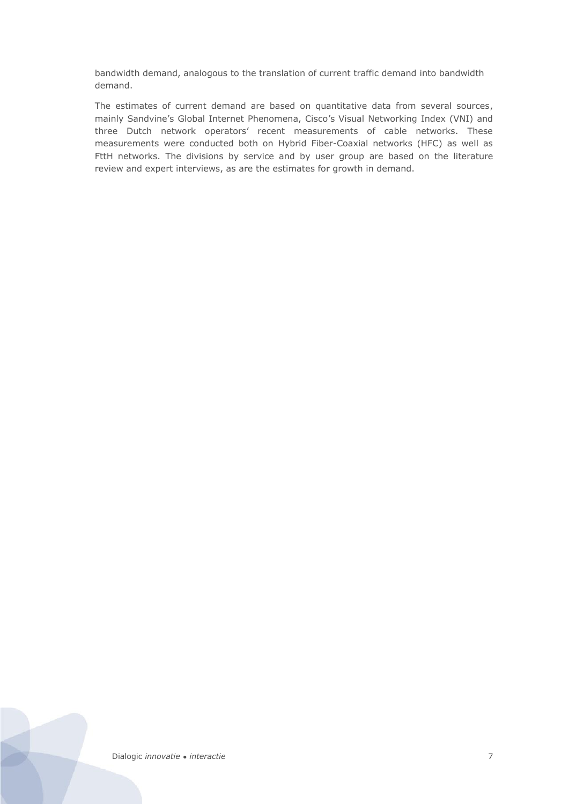bandwidth demand, analogous to the translation of current traffic demand into bandwidth demand.

The estimates of current demand are based on quantitative data from several sources, mainly Sandvine's Global Internet Phenomena, Cisco's Visual Networking Index (VNI) and three Dutch network operators' recent measurements of cable networks. These measurements were conducted both on Hybrid Fiber-Coaxial networks (HFC) as well as FttH networks. The divisions by service and by user group are based on the literature review and expert interviews, as are the estimates for growth in demand.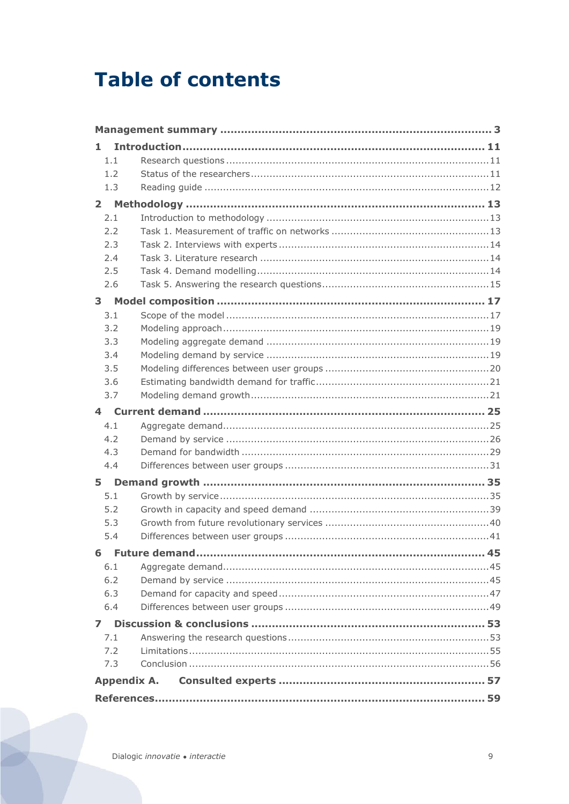# **Table of contents**

| 1.                 |  |
|--------------------|--|
| 1.1                |  |
| 1.2                |  |
| 1.3                |  |
| $2^{\circ}$        |  |
| 2.1                |  |
| 2.2                |  |
| 2.3                |  |
| 2.4                |  |
| 2.5                |  |
| 2.6                |  |
| 3 <sup>7</sup>     |  |
| 3.1                |  |
| 3.2                |  |
| 3.3                |  |
| 3.4                |  |
| 3.5                |  |
| 3.6                |  |
| 3.7                |  |
| 4                  |  |
| 4.1                |  |
| 4.2                |  |
| 4.3                |  |
| 4.4                |  |
| 5                  |  |
| 5.1                |  |
| 5.2                |  |
| 5.3                |  |
| 5.4                |  |
|                    |  |
| 6.1                |  |
| 6.2                |  |
| 6.3                |  |
| 6.4                |  |
| 7                  |  |
| 7.1                |  |
| 7.2                |  |
| 7.3                |  |
| <b>Appendix A.</b> |  |
|                    |  |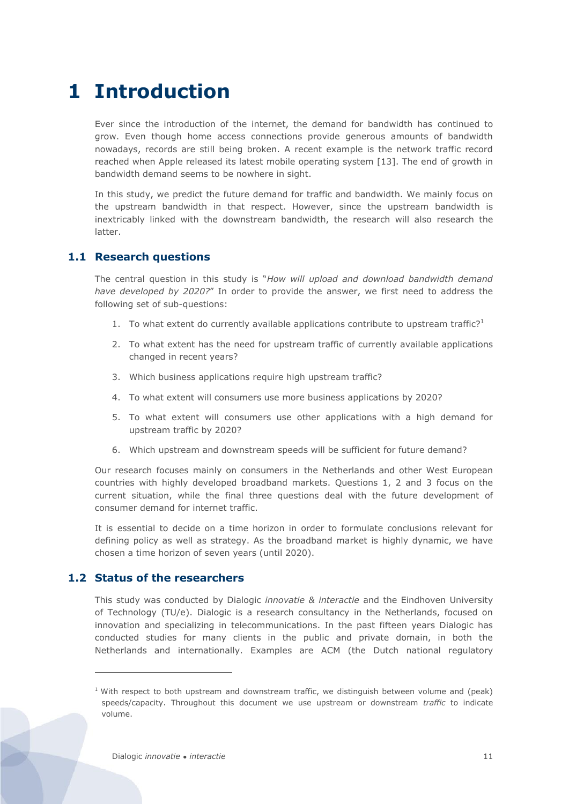# <span id="page-9-0"></span>**1 Introduction**

Ever since the introduction of the internet, the demand for bandwidth has continued to grow. Even though home access connections provide generous amounts of bandwidth nowadays, records are still being broken. A recent example is the network traffic record reached when Apple released its latest mobile operating system [\[13\].](#page-57-1) The end of growth in bandwidth demand seems to be nowhere in sight.

In this study, we predict the future demand for traffic and bandwidth. We mainly focus on the upstream bandwidth in that respect. However, since the upstream bandwidth is inextricably linked with the downstream bandwidth, the research will also research the latter.

# <span id="page-9-1"></span>**1.1 Research questions**

The central question in this study is "*How will upload and download bandwidth demand have developed by 2020?*" In order to provide the answer, we first need to address the following set of sub-questions:

- 1. To what extent do currently available applications contribute to upstream traffic?<sup>1</sup>
- 2. To what extent has the need for upstream traffic of currently available applications changed in recent years?
- 3. Which business applications require high upstream traffic?
- 4. To what extent will consumers use more business applications by 2020?
- 5. To what extent will consumers use other applications with a high demand for upstream traffic by 2020?
- 6. Which upstream and downstream speeds will be sufficient for future demand?

Our research focuses mainly on consumers in the Netherlands and other West European countries with highly developed broadband markets. Questions 1, 2 and 3 focus on the current situation, while the final three questions deal with the future development of consumer demand for internet traffic.

It is essential to decide on a time horizon in order to formulate conclusions relevant for defining policy as well as strategy. As the broadband market is highly dynamic, we have chosen a time horizon of seven years (until 2020).

# <span id="page-9-2"></span>**1.2 Status of the researchers**

 $\overline{a}$ 

This study was conducted by Dialogic *innovatie & interactie* and the Eindhoven University of Technology (TU/e). Dialogic is a research consultancy in the Netherlands, focused on innovation and specializing in telecommunications. In the past fifteen years Dialogic has conducted studies for many clients in the public and private domain, in both the Netherlands and internationally. Examples are ACM (the Dutch national regulatory

 $1$  With respect to both upstream and downstream traffic, we distinguish between volume and (peak) speeds/capacity. Throughout this document we use upstream or downstream *traffic* to indicate volume.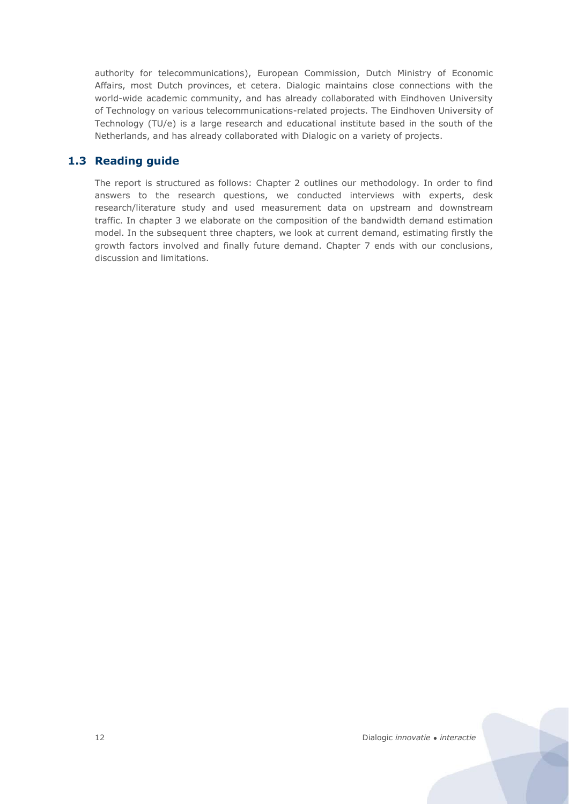authority for telecommunications), European Commission, Dutch Ministry of Economic Affairs, most Dutch provinces, et cetera. Dialogic maintains close connections with the world-wide academic community, and has already collaborated with Eindhoven University of Technology on various telecommunications-related projects. The Eindhoven University of Technology (TU/e) is a large research and educational institute based in the south of the Netherlands, and has already collaborated with Dialogic on a variety of projects.

# <span id="page-10-0"></span>**1.3 Reading guide**

The report is structured as follows: Chapter [2](#page-11-0) outlines our methodology. In order to find answers to the research questions, we conducted interviews with experts, desk research/literature study and used measurement data on upstream and downstream traffic. In chapter [3](#page-15-0) we elaborate on the composition of the bandwidth demand estimation model. In the subsequent three chapters, we look at current demand, estimating firstly the growth factors involved and finally future demand. Chapter [7](#page-51-0) ends with our conclusions, discussion and limitations.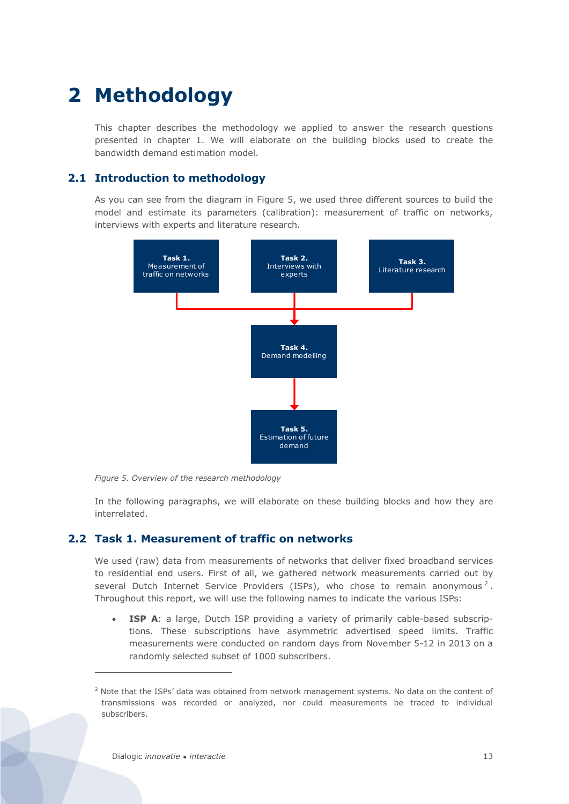# <span id="page-11-0"></span>**2 Methodology**

This chapter describes the methodology we applied to answer the research questions presented in chapter 1. We will elaborate on the building blocks used to create the bandwidth demand estimation model.

# <span id="page-11-1"></span>**2.1 Introduction to methodology**

As you can see from the diagram in [Figure 5,](#page-11-3) we used three different sources to build the model and estimate its parameters (calibration): measurement of traffic on networks, interviews with experts and literature research.



<span id="page-11-3"></span>*Figure 5. Overview of the research methodology*

In the following paragraphs, we will elaborate on these building blocks and how they are interrelated.

# <span id="page-11-2"></span>**2.2 Task 1. Measurement of traffic on networks**

We used (raw) data from measurements of networks that deliver fixed broadband services to residential end users. First of all, we gathered network measurements carried out by several Dutch Internet Service Providers (ISPs), who chose to remain anonymous<sup>2</sup>. Throughout this report, we will use the following names to indicate the various ISPs:

**ISP A**: a large, Dutch ISP providing a variety of primarily cable-based subscriptions. These subscriptions have asymmetric advertised speed limits. Traffic measurements were conducted on random days from November 5-12 in 2013 on a randomly selected subset of 1000 subscribers.

 $\overline{a}$ 

 $2$  Note that the ISPs' data was obtained from network management systems. No data on the content of transmissions was recorded or analyzed, nor could measurements be traced to individual subscribers.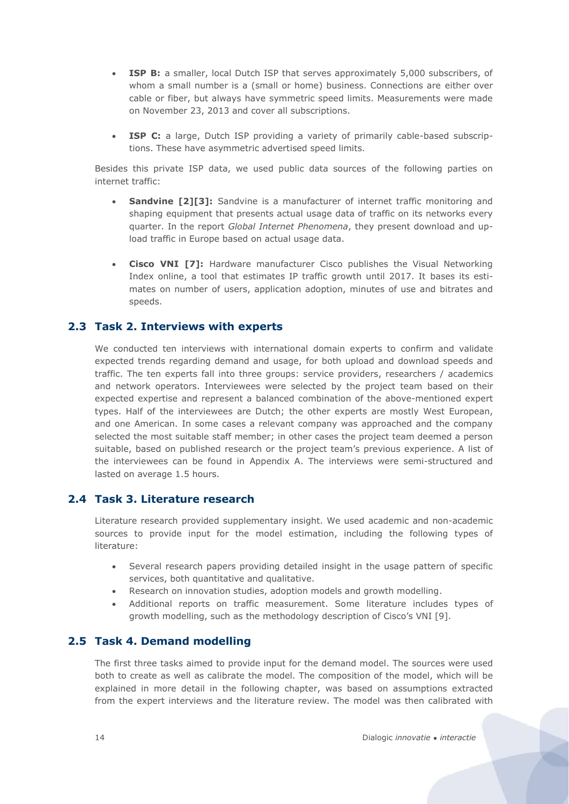- **ISP B:** a smaller, local Dutch ISP that serves approximately 5,000 subscribers, of whom a small number is a (small or home) business. Connections are either over cable or fiber, but always have symmetric speed limits. Measurements were made on November 23, 2013 and cover all subscriptions.
- **ISP C:** a large, Dutch ISP providing a variety of primarily cable-based subscriptions. These have asymmetric advertised speed limits.

Besides this private ISP data, we used public data sources of the following parties on internet traffic:

- **Sandvine [\[2\]\[3\]:](#page-57-2)** Sandvine is a manufacturer of internet traffic monitoring and shaping equipment that presents actual usage data of traffic on its networks every quarter. In the report *Global Internet Phenomena*, they present download and upload traffic in Europe based on actual usage data.
- x **Cisco VNI [\[7\]:](#page-57-3)** Hardware manufacturer Cisco publishes the Visual Networking Index online, a tool that estimates IP traffic growth until 2017. It bases its estimates on number of users, application adoption, minutes of use and bitrates and speeds.

### <span id="page-12-0"></span>**2.3 Task 2. Interviews with experts**

We conducted ten interviews with international domain experts to confirm and validate expected trends regarding demand and usage, for both upload and download speeds and traffic. The ten experts fall into three groups: service providers, researchers / academics and network operators. Interviewees were selected by the project team based on their expected expertise and represent a balanced combination of the above-mentioned expert types. Half of the interviewees are Dutch; the other experts are mostly West European, and one American. In some cases a relevant company was approached and the company selected the most suitable staff member; in other cases the project team deemed a person suitable, based on published research or the project team's previous experience. A list of the interviewees can be found in [Appendix A.](#page-55-0) The interviews were semi-structured and lasted on average 1.5 hours.

# <span id="page-12-1"></span>**2.4 Task 3. Literature research**

Literature research provided supplementary insight. We used academic and non-academic sources to provide input for the model estimation, including the following types of literature:

- Several research papers providing detailed insight in the usage pattern of specific services, both quantitative and qualitative.
- Research on innovation studies, adoption models and growth modelling.
- Additional reports on traffic measurement. Some literature includes types of growth modelling, such as the methodology description of Cisco's VNI [9].

### <span id="page-12-2"></span>**2.5 Task 4. Demand modelling**

The first three tasks aimed to provide input for the demand model. The sources were used both to create as well as calibrate the model. The composition of the model, which will be explained in more detail in the following chapter, was based on assumptions extracted from the expert interviews and the literature review. The model was then calibrated with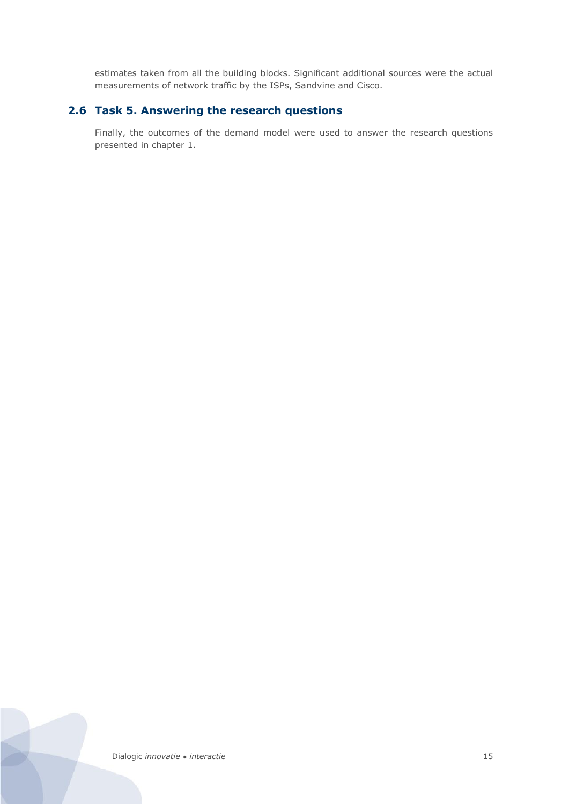estimates taken from all the building blocks. Significant additional sources were the actual measurements of network traffic by the ISPs, Sandvine and Cisco.

# <span id="page-13-0"></span>**2.6 Task 5. Answering the research questions**

Finally, the outcomes of the demand model were used to answer the research questions presented in chapter 1.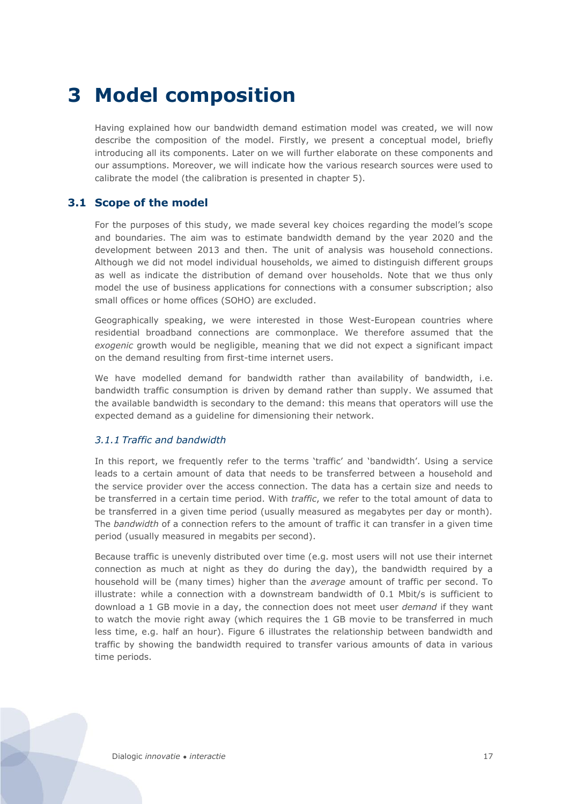# <span id="page-15-0"></span>**3 Model composition**

Having explained how our bandwidth demand estimation model was created, we will now describe the composition of the model. Firstly, we present a conceptual model, briefly introducing all its components. Later on we will further elaborate on these components and our assumptions. Moreover, we will indicate how the various research sources were used to calibrate the model (the calibration is presented in chapter 5).

# <span id="page-15-1"></span>**3.1 Scope of the model**

For the purposes of this study, we made several key choices regarding the model's scope and boundaries. The aim was to estimate bandwidth demand by the year 2020 and the development between 2013 and then. The unit of analysis was household connections. Although we did not model individual households, we aimed to distinguish different groups as well as indicate the distribution of demand over households. Note that we thus only model the use of business applications for connections with a consumer subscription; also small offices or home offices (SOHO) are excluded.

Geographically speaking, we were interested in those West-European countries where residential broadband connections are commonplace. We therefore assumed that the *exogenic* growth would be negligible, meaning that we did not expect a significant impact on the demand resulting from first-time internet users.

We have modelled demand for bandwidth rather than availability of bandwidth, i.e. bandwidth traffic consumption is driven by demand rather than supply. We assumed that the available bandwidth is secondary to the demand: this means that operators will use the expected demand as a guideline for dimensioning their network.

#### *3.1.1 Traffic and bandwidth*

In this report, we frequently refer to the terms 'traffic' and 'bandwidth'. Using a service leads to a certain amount of data that needs to be transferred between a household and the service provider over the access connection. The data has a certain size and needs to be transferred in a certain time period. With *traffic*, we refer to the total amount of data to be transferred in a given time period (usually measured as megabytes per day or month). The *bandwidth* of a connection refers to the amount of traffic it can transfer in a given time period (usually measured in megabits per second).

Because traffic is unevenly distributed over time (e.g. most users will not use their internet connection as much at night as they do during the day), the bandwidth required by a household will be (many times) higher than the *average* amount of traffic per second. To illustrate: while a connection with a downstream bandwidth of 0.1 Mbit/s is sufficient to download a 1 GB movie in a day, the connection does not meet user *demand* if they want to watch the movie right away (which requires the 1 GB movie to be transferred in much less time, e.g. half an hour). [Figure 6](#page-16-0) illustrates the relationship between bandwidth and traffic by showing the bandwidth required to transfer various amounts of data in various time periods.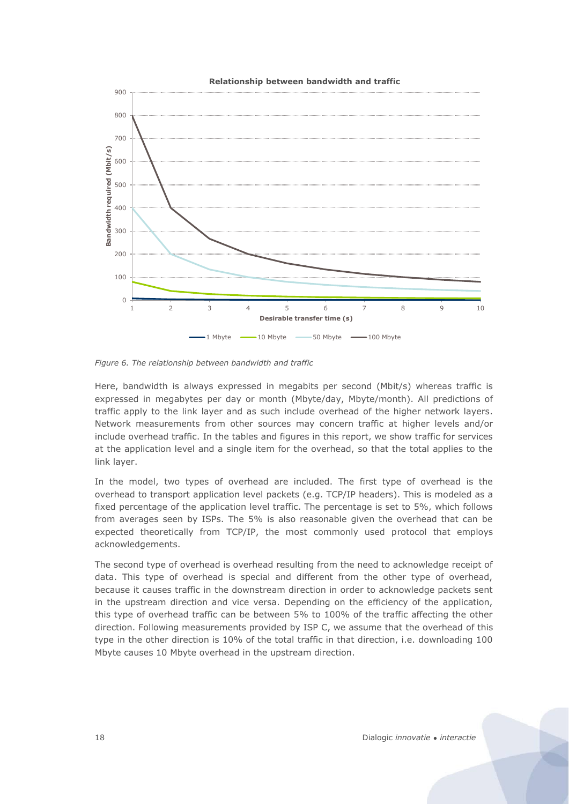

<span id="page-16-0"></span>*Figure 6. The relationship between bandwidth and traffic*

Here, bandwidth is always expressed in megabits per second (Mbit/s) whereas traffic is expressed in megabytes per day or month (Mbyte/day, Mbyte/month). All predictions of traffic apply to the link layer and as such include overhead of the higher network layers. Network measurements from other sources may concern traffic at higher levels and/or include overhead traffic. In the tables and figures in this report, we show traffic for services at the application level and a single item for the overhead, so that the total applies to the link layer.

In the model, two types of overhead are included. The first type of overhead is the overhead to transport application level packets (e.g. TCP/IP headers). This is modeled as a fixed percentage of the application level traffic. The percentage is set to 5%, which follows from averages seen by ISPs. The 5% is also reasonable given the overhead that can be expected theoretically from TCP/IP, the most commonly used protocol that employs acknowledgements.

The second type of overhead is overhead resulting from the need to acknowledge receipt of data. This type of overhead is special and different from the other type of overhead, because it causes traffic in the downstream direction in order to acknowledge packets sent in the upstream direction and vice versa. Depending on the efficiency of the application, this type of overhead traffic can be between 5% to 100% of the traffic affecting the other direction. Following measurements provided by ISP C, we assume that the overhead of this type in the other direction is 10% of the total traffic in that direction, i.e. downloading 100 Mbyte causes 10 Mbyte overhead in the upstream direction.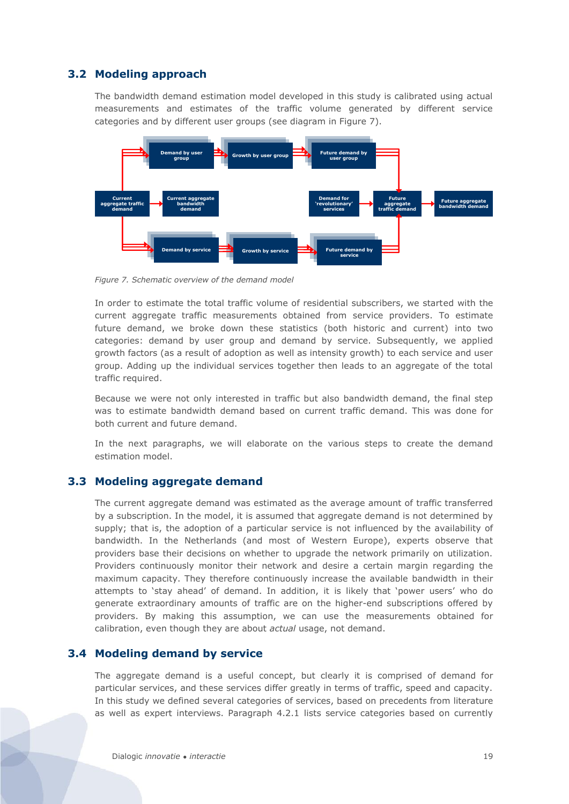# **3.2 Modeling approach**

<span id="page-17-0"></span>The bandwidth demand estimation model developed in this study is calibrated using actual measurements and estimates of the traffic volume generated by different service categories and by different user groups (see diagram in [Figure 7\)](#page-17-3).



<span id="page-17-3"></span>*Figure 7. Schematic overview of the demand model*

In order to estimate the total traffic volume of residential subscribers, we started with the current aggregate traffic measurements obtained from service providers. To estimate future demand, we broke down these statistics (both historic and current) into two categories: demand by user group and demand by service. Subsequently, we applied growth factors (as a result of adoption as well as intensity growth) to each service and user group. Adding up the individual services together then leads to an aggregate of the total traffic required.

Because we were not only interested in traffic but also bandwidth demand, the final step was to estimate bandwidth demand based on current traffic demand. This was done for both current and future demand.

In the next paragraphs, we will elaborate on the various steps to create the demand estimation model.

# <span id="page-17-1"></span>**3.3 Modeling aggregate demand**

The current aggregate demand was estimated as the average amount of traffic transferred by a subscription. In the model, it is assumed that aggregate demand is not determined by supply; that is, the adoption of a particular service is not influenced by the availability of bandwidth. In the Netherlands (and most of Western Europe), experts observe that providers base their decisions on whether to upgrade the network primarily on utilization. Providers continuously monitor their network and desire a certain margin regarding the maximum capacity. They therefore continuously increase the available bandwidth in their attempts to 'stay ahead' of demand. In addition, it is likely that 'power users' who do generate extraordinary amounts of traffic are on the higher-end subscriptions offered by providers. By making this assumption, we can use the measurements obtained for calibration, even though they are about *actual* usage, not demand.

# <span id="page-17-2"></span>**3.4 Modeling demand by service**

The aggregate demand is a useful concept, but clearly it is comprised of demand for particular services, and these services differ greatly in terms of traffic, speed and capacity. In this study we defined several categories of services, based on precedents from literature as well as expert interviews. Paragraph [4.2.1](#page-24-1) lists service categories based on currently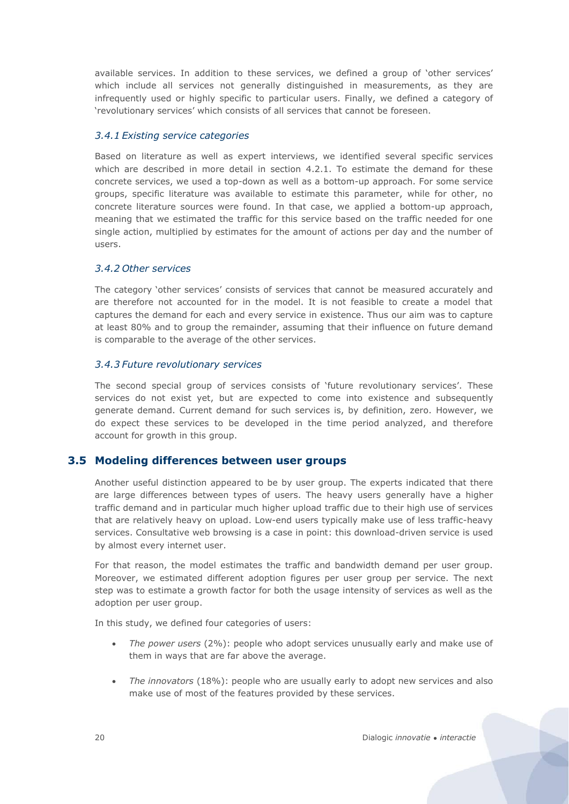available services. In addition to these services, we defined a group of 'other services' which include all services not generally distinguished in measurements, as they are infrequently used or highly specific to particular users. Finally, we defined a category of 'revolutionary services' which consists of all services that cannot be foreseen.

#### *3.4.1 Existing service categories*

Based on literature as well as expert interviews, we identified several specific services which are described in more detail in section 4.2.1. To estimate the demand for these concrete services, we used a top-down as well as a bottom-up approach. For some service groups, specific literature was available to estimate this parameter, while for other, no concrete literature sources were found. In that case, we applied a bottom-up approach, meaning that we estimated the traffic for this service based on the traffic needed for one single action, multiplied by estimates for the amount of actions per day and the number of users.

#### *3.4.2 Other services*

The category 'other services' consists of services that cannot be measured accurately and are therefore not accounted for in the model. It is not feasible to create a model that captures the demand for each and every service in existence. Thus our aim was to capture at least 80% and to group the remainder, assuming that their influence on future demand is comparable to the average of the other services.

#### *3.4.3 Future revolutionary services*

The second special group of services consists of 'future revolutionary services'. These services do not exist yet, but are expected to come into existence and subsequently generate demand. Current demand for such services is, by definition, zero. However, we do expect these services to be developed in the time period analyzed, and therefore account for growth in this group.

#### <span id="page-18-0"></span>**3.5 Modeling differences between user groups**

Another useful distinction appeared to be by user group. The experts indicated that there are large differences between types of users. The heavy users generally have a higher traffic demand and in particular much higher upload traffic due to their high use of services that are relatively heavy on upload. Low-end users typically make use of less traffic-heavy services. Consultative web browsing is a case in point: this download-driven service is used by almost every internet user.

For that reason, the model estimates the traffic and bandwidth demand per user group. Moreover, we estimated different adoption figures per user group per service. The next step was to estimate a growth factor for both the usage intensity of services as well as the adoption per user group.

In this study, we defined four categories of users:

- *The power users* (2%): people who adopt services unusually early and make use of them in ways that are far above the average.
- *The innovators* (18%): people who are usually early to adopt new services and also make use of most of the features provided by these services.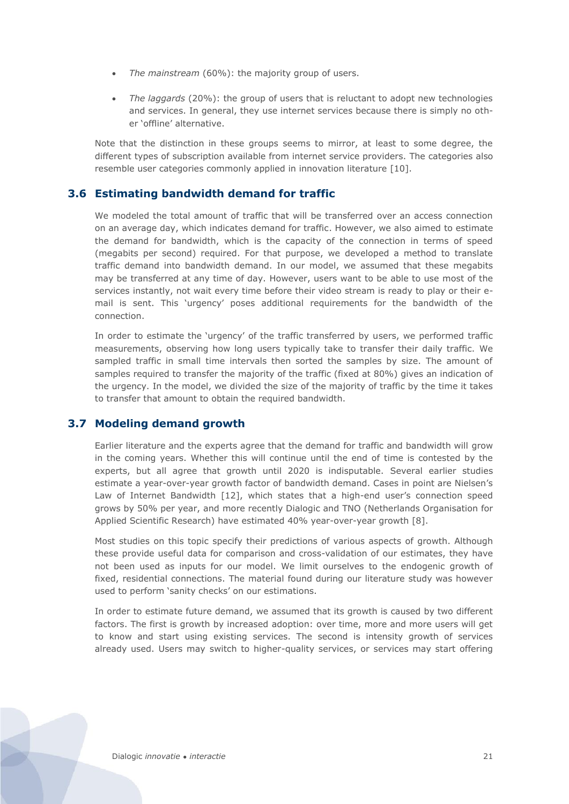- *The mainstream* (60%): the majority group of users.
- x *The laggards* (20%): the group of users that is reluctant to adopt new technologies and services. In general, they use internet services because there is simply no other 'offline' alternative.

Note that the distinction in these groups seems to mirror, at least to some degree, the different types of subscription available from internet service providers. The categories also resemble user categories commonly applied in innovation literature [\[10\].](#page-57-4)

# <span id="page-19-0"></span>**3.6 Estimating bandwidth demand for traffic**

We modeled the total amount of traffic that will be transferred over an access connection on an average day, which indicates demand for traffic. However, we also aimed to estimate the demand for bandwidth, which is the capacity of the connection in terms of speed (megabits per second) required. For that purpose, we developed a method to translate traffic demand into bandwidth demand. In our model, we assumed that these megabits may be transferred at any time of day. However, users want to be able to use most of the services instantly, not wait every time before their video stream is ready to play or their email is sent. This 'urgency' poses additional requirements for the bandwidth of the connection.

In order to estimate the 'urgency' of the traffic transferred by users, we performed traffic measurements, observing how long users typically take to transfer their daily traffic. We sampled traffic in small time intervals then sorted the samples by size. The amount of samples required to transfer the majority of the traffic (fixed at 80%) gives an indication of the urgency. In the model, we divided the size of the majority of traffic by the time it takes to transfer that amount to obtain the required bandwidth.

#### <span id="page-19-1"></span>**3.7 Modeling demand growth**

Earlier literature and the experts agree that the demand for traffic and bandwidth will grow in the coming years. Whether this will continue until the end of time is contested by the experts, but all agree that growth until 2020 is indisputable. Several earlier studies estimate a year-over-year growth factor of bandwidth demand. Cases in point are Nielsen's Law of Internet Bandwidth [\[12\],](#page-57-5) which states that a high-end user's connection speed grows by 50% per year, and more recently Dialogic and TNO (Netherlands Organisation for Applied Scientific Research) have estimated 40% year-over-year growth [\[8\].](#page-57-6)

Most studies on this topic specify their predictions of various aspects of growth. Although these provide useful data for comparison and cross-validation of our estimates, they have not been used as inputs for our model. We limit ourselves to the endogenic growth of fixed, residential connections. The material found during our literature study was however used to perform 'sanity checks' on our estimations.

In order to estimate future demand, we assumed that its growth is caused by two different factors. The first is growth by increased adoption: over time, more and more users will get to know and start using existing services. The second is intensity growth of services already used. Users may switch to higher-quality services, or services may start offering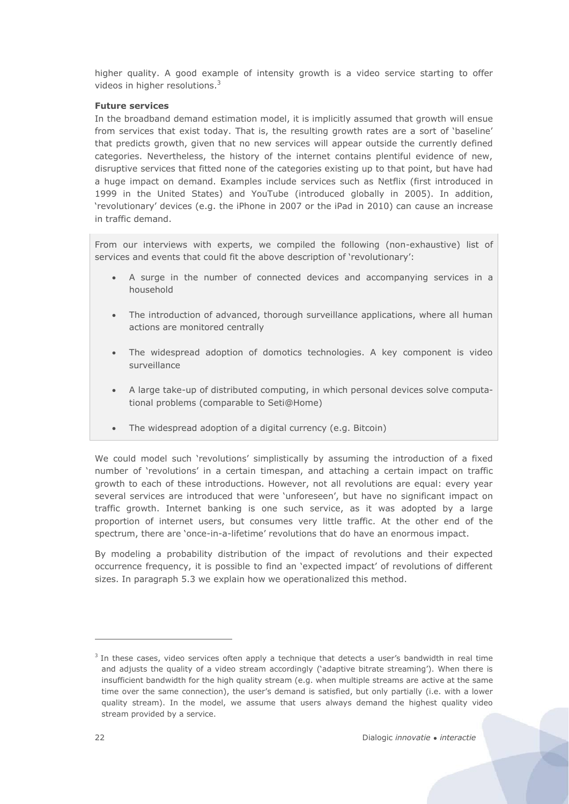higher quality. A good example of intensity growth is a video service starting to offer videos in higher resolutions.<sup>3</sup>

#### **Future services**

In the broadband demand estimation model, it is implicitly assumed that growth will ensue from services that exist today. That is, the resulting growth rates are a sort of 'baseline' that predicts growth, given that no new services will appear outside the currently defined categories. Nevertheless, the history of the internet contains plentiful evidence of new, disruptive services that fitted none of the categories existing up to that point, but have had a huge impact on demand. Examples include services such as Netflix (first introduced in 1999 in the United States) and YouTube (introduced globally in 2005). In addition, 'revolutionary' devices (e.g. the iPhone in 2007 or the iPad in 2010) can cause an increase in traffic demand.

From our interviews with experts, we compiled the following (non-exhaustive) list of services and events that could fit the above description of 'revolutionary':

- A surge in the number of connected devices and accompanying services in a household
- The introduction of advanced, thorough surveillance applications, where all human actions are monitored centrally
- The widespread adoption of domotics technologies. A key component is video surveillance
- A large take-up of distributed computing, in which personal devices solve computational problems (comparable to Seti@Home)
- The widespread adoption of a digital currency (e.g. Bitcoin)

We could model such 'revolutions' simplistically by assuming the introduction of a fixed number of 'revolutions' in a certain timespan, and attaching a certain impact on traffic growth to each of these introductions. However, not all revolutions are equal: every year several services are introduced that were 'unforeseen', but have no significant impact on traffic growth. Internet banking is one such service, as it was adopted by a large proportion of internet users, but consumes very little traffic. At the other end of the spectrum, there are 'once-in-a-lifetime' revolutions that do have an enormous impact.

By modeling a probability distribution of the impact of revolutions and their expected occurrence frequency, it is possible to find an 'expected impact' of revolutions of different sizes. In paragraph [5.3](#page-38-0) we explain how we operationalized this method.

 $\overline{a}$ 

<sup>&</sup>lt;sup>3</sup> In these cases, video services often apply a technique that detects a user's bandwidth in real time and adjusts the quality of a video stream accordingly ('adaptive bitrate streaming'). When there is insufficient bandwidth for the high quality stream (e.g. when multiple streams are active at the same time over the same connection), the user's demand is satisfied, but only partially (i.e. with a lower quality stream). In the model, we assume that users always demand the highest quality video stream provided by a service.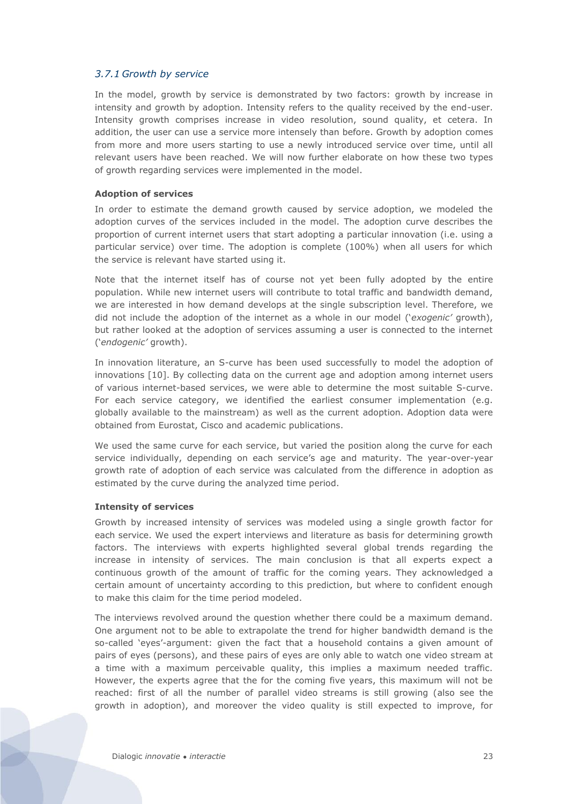#### <span id="page-21-0"></span>*3.7.1 Growth by service*

In the model, growth by service is demonstrated by two factors: growth by increase in intensity and growth by adoption. Intensity refers to the quality received by the end-user. Intensity growth comprises increase in video resolution, sound quality, et cetera. In addition, the user can use a service more intensely than before. Growth by adoption comes from more and more users starting to use a newly introduced service over time, until all relevant users have been reached. We will now further elaborate on how these two types of growth regarding services were implemented in the model.

#### **Adoption of services**

In order to estimate the demand growth caused by service adoption, we modeled the adoption curves of the services included in the model. The adoption curve describes the proportion of current internet users that start adopting a particular innovation (i.e. using a particular service) over time. The adoption is complete (100%) when all users for which the service is relevant have started using it.

Note that the internet itself has of course not yet been fully adopted by the entire population. While new internet users will contribute to total traffic and bandwidth demand, we are interested in how demand develops at the single subscription level. Therefore, we did not include the adoption of the internet as a whole in our model ('*exogenic'* growth), but rather looked at the adoption of services assuming a user is connected to the internet ('*endogenic'* growth).

In innovation literature, an S-curve has been used successfully to model the adoption of innovations [\[10\].](#page-57-4) By collecting data on the current age and adoption among internet users of various internet-based services, we were able to determine the most suitable S-curve. For each service category, we identified the earliest consumer implementation (e.g. globally available to the mainstream) as well as the current adoption. Adoption data were obtained from Eurostat, Cisco and academic publications.

We used the same curve for each service, but varied the position along the curve for each service individually, depending on each service's age and maturity. The year-over-year growth rate of adoption of each service was calculated from the difference in adoption as estimated by the curve during the analyzed time period.

#### **Intensity of services**

Growth by increased intensity of services was modeled using a single growth factor for each service. We used the expert interviews and literature as basis for determining growth factors. The interviews with experts highlighted several global trends regarding the increase in intensity of services. The main conclusion is that all experts expect a continuous growth of the amount of traffic for the coming years. They acknowledged a certain amount of uncertainty according to this prediction, but where to confident enough to make this claim for the time period modeled.

The interviews revolved around the question whether there could be a maximum demand. One argument not to be able to extrapolate the trend for higher bandwidth demand is the so-called 'eyes'-argument: given the fact that a household contains a given amount of pairs of eyes (persons), and these pairs of eyes are only able to watch one video stream at a time with a maximum perceivable quality, this implies a maximum needed traffic. However, the experts agree that the for the coming five years, this maximum will not be reached: first of all the number of parallel video streams is still growing (also see the growth in adoption), and moreover the video quality is still expected to improve, for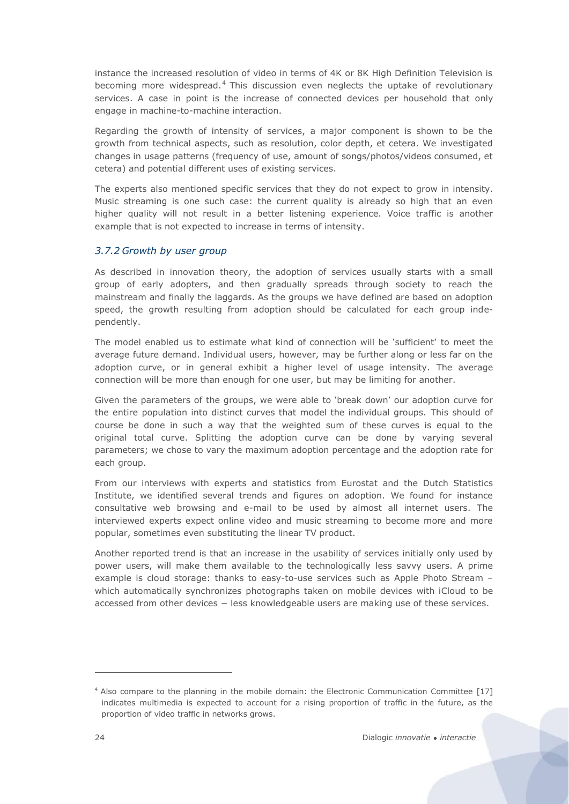instance the increased resolution of video in terms of 4K or 8K High Definition Television is becoming more widespread. <sup>4</sup> This discussion even neglects the uptake of revolutionary services. A case in point is the increase of connected devices per household that only engage in machine-to-machine interaction.

Regarding the growth of intensity of services, a major component is shown to be the growth from technical aspects, such as resolution, color depth, et cetera. We investigated changes in usage patterns (frequency of use, amount of songs/photos/videos consumed, et cetera) and potential different uses of existing services.

The experts also mentioned specific services that they do not expect to grow in intensity. Music streaming is one such case: the current quality is already so high that an even higher quality will not result in a better listening experience. Voice traffic is another example that is not expected to increase in terms of intensity.

### *3.7.2 Growth by user group*

As described in innovation theory, the adoption of services usually starts with a small group of early adopters, and then gradually spreads through society to reach the mainstream and finally the laggards. As the groups we have defined are based on adoption speed, the growth resulting from adoption should be calculated for each group independently.

The model enabled us to estimate what kind of connection will be 'sufficient' to meet the average future demand. Individual users, however, may be further along or less far on the adoption curve, or in general exhibit a higher level of usage intensity. The average connection will be more than enough for one user, but may be limiting for another.

Given the parameters of the groups, we were able to 'break down' our adoption curve for the entire population into distinct curves that model the individual groups. This should of course be done in such a way that the weighted sum of these curves is equal to the original total curve. Splitting the adoption curve can be done by varying several parameters; we chose to vary the maximum adoption percentage and the adoption rate for each group.

From our interviews with experts and statistics from Eurostat and the Dutch Statistics Institute, we identified several trends and figures on adoption. We found for instance consultative web browsing and e-mail to be used by almost all internet users. The interviewed experts expect online video and music streaming to become more and more popular, sometimes even substituting the linear TV product.

Another reported trend is that an increase in the usability of services initially only used by power users, will make them available to the technologically less savvy users. A prime example is cloud storage: thanks to easy-to-use services such as Apple Photo Stream – which automatically synchronizes photographs taken on mobile devices with iCloud to be accessed from other devices − less knowledgeable users are making use of these services.

 $\overline{a}$ 

<sup>&</sup>lt;sup>4</sup> Also compare to the planning in the mobile domain: the Electronic Communication Committee [\[17\]](#page-57-7) indicates multimedia is expected to account for a rising proportion of traffic in the future, as the proportion of video traffic in networks grows.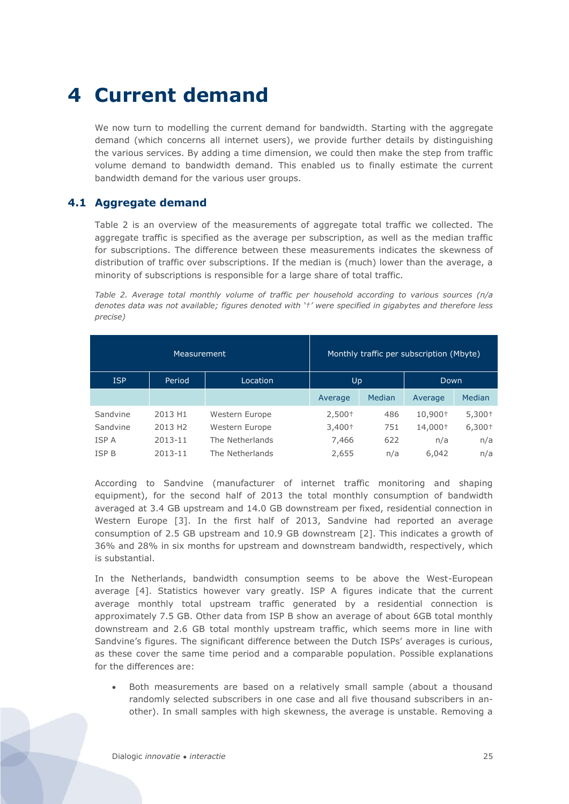# <span id="page-23-0"></span>**4 Current demand**

We now turn to modelling the current demand for bandwidth. Starting with the aggregate demand (which concerns all internet users), we provide further details by distinguishing the various services. By adding a time dimension, we could then make the step from traffic volume demand to bandwidth demand. This enabled us to finally estimate the current bandwidth demand for the various user groups.

# <span id="page-23-1"></span>**4.1 Aggregate demand**

[Table 2](#page-23-2) is an overview of the measurements of aggregate total traffic we collected. The aggregate traffic is specified as the average per subscription, as well as the median traffic for subscriptions. The difference between these measurements indicates the skewness of distribution of traffic over subscriptions. If the median is (much) lower than the average, a minority of subscriptions is responsible for a large share of total traffic.

<span id="page-23-2"></span>*Table 2. Average total monthly volume of traffic per household according to various sources (n/a denotes data was not available; figures denoted with '†' were specified in gigabytes and therefore less precise)*

|              | Measurement         |                 |          |        | Monthly traffic per subscription (Mbyte) |          |
|--------------|---------------------|-----------------|----------|--------|------------------------------------------|----------|
| <b>ISP</b>   | Period              | Up<br>Location  |          |        |                                          | Down     |
|              |                     |                 | Average  | Median | Average                                  | Median   |
| Sandvine     | 2013 H1             | Western Europe  | $2,500+$ | 486    | 10,900+                                  | $5,300+$ |
| Sandvine     | 2013 H <sub>2</sub> | Western Europe  | $3,400+$ | 751    | 14,000+                                  | $6,300+$ |
| <b>ISPA</b>  | 2013-11             | The Netherlands | 7,466    | 622    | n/a                                      | n/a      |
| <b>ISP B</b> | 2013-11             | The Netherlands | 2,655    | n/a    | 6,042                                    | n/a      |

According to Sandvine (manufacturer of internet traffic monitoring and shaping equipment), for the second half of 2013 the total monthly consumption of bandwidth averaged at 3.4 GB upstream and 14.0 GB downstream per fixed, residential connection in Western Europe [\[3\].](#page-57-8) In the first half of 2013, Sandvine had reported an average consumption of 2.5 GB upstream and 10.9 GB downstream [\[2\].](#page-57-2) This indicates a growth of 36% and 28% in six months for upstream and downstream bandwidth, respectively, which is substantial.

In the Netherlands, bandwidth consumption seems to be above the West-European average [\[4\].](#page-57-9) Statistics however vary greatly. ISP A figures indicate that the current average monthly total upstream traffic generated by a residential connection is approximately 7.5 GB. Other data from ISP B show an average of about 6GB total monthly downstream and 2.6 GB total monthly upstream traffic, which seems more in line with Sandvine's figures. The significant difference between the Dutch ISPs' averages is curious, as these cover the same time period and a comparable population. Possible explanations for the differences are:

Both measurements are based on a relatively small sample (about a thousand randomly selected subscribers in one case and all five thousand subscribers in another). In small samples with high skewness, the average is unstable. Removing a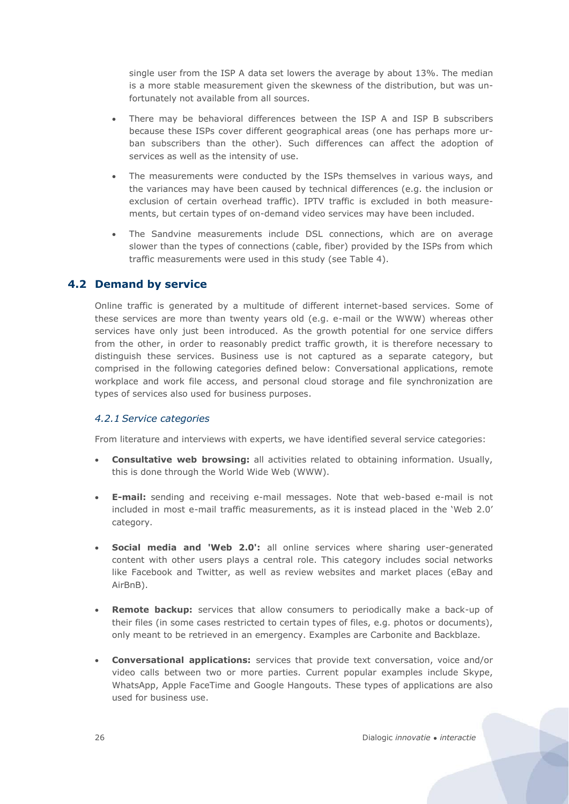single user from the ISP A data set lowers the average by about 13%. The median is a more stable measurement given the skewness of the distribution, but was unfortunately not available from all sources.

- There may be behavioral differences between the ISP A and ISP B subscribers because these ISPs cover different geographical areas (one has perhaps more urban subscribers than the other). Such differences can affect the adoption of services as well as the intensity of use.
- The measurements were conducted by the ISPs themselves in various ways, and the variances may have been caused by technical differences (e.g. the inclusion or exclusion of certain overhead traffic). IPTV traffic is excluded in both measurements, but certain types of on-demand video services may have been included.
- The Sandvine measurements include DSL connections, which are on average slower than the types of connections (cable, fiber) provided by the ISPs from which traffic measurements were used in this study (see [Table 4\)](#page-30-0).

# <span id="page-24-0"></span>**4.2 Demand by service**

Online traffic is generated by a multitude of different internet-based services. Some of these services are more than twenty years old (e.g. e-mail or the WWW) whereas other services have only just been introduced. As the growth potential for one service differs from the other, in order to reasonably predict traffic growth, it is therefore necessary to distinguish these services. Business use is not captured as a separate category, but comprised in the following categories defined below: Conversational applications, remote workplace and work file access, and personal cloud storage and file synchronization are types of services also used for business purposes.

#### <span id="page-24-1"></span>*4.2.1 Service categories*

From literature and interviews with experts, we have identified several service categories:

- x **Consultative web browsing:** all activities related to obtaining information. Usually, this is done through the World Wide Web (WWW).
- x **E-mail:** sending and receiving e-mail messages. Note that web-based e-mail is not included in most e-mail traffic measurements, as it is instead placed in the 'Web 2.0' category.
- **Social media and 'Web 2.0':** all online services where sharing user-generated content with other users plays a central role. This category includes social networks like Facebook and Twitter, as well as review websites and market places (eBay and AirBnB).
- **Remote backup:** services that allow consumers to periodically make a back-up of their files (in some cases restricted to certain types of files, e.g. photos or documents), only meant to be retrieved in an emergency. Examples are Carbonite and Backblaze.
- x **Conversational applications:** services that provide text conversation, voice and/or video calls between two or more parties. Current popular examples include Skype, WhatsApp, Apple FaceTime and Google Hangouts. These types of applications are also used for business use.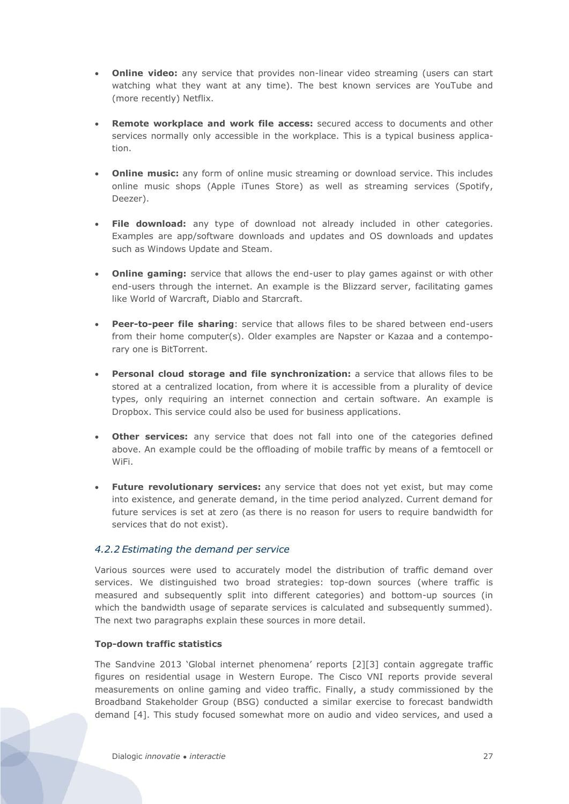- **Online video:** any service that provides non-linear video streaming (users can start watching what they want at any time). The best known services are YouTube and (more recently) Netflix.
- **Remote workplace and work file access:** secured access to documents and other services normally only accessible in the workplace. This is a typical business application.
- **Online music:** any form of online music streaming or download service. This includes online music shops (Apple iTunes Store) as well as streaming services (Spotify, Deezer).
- File download: any type of download not already included in other categories. Examples are app/software downloads and updates and OS downloads and updates such as Windows Update and Steam.
- **Online gaming:** service that allows the end-user to play games against or with other end-users through the internet. An example is the Blizzard server, facilitating games like World of Warcraft, Diablo and Starcraft.
- **Peer-to-peer file sharing**: service that allows files to be shared between end-users from their home computer(s). Older examples are Napster or Kazaa and a contemporary one is BitTorrent.
- **Personal cloud storage and file synchronization:** a service that allows files to be stored at a centralized location, from where it is accessible from a plurality of device types, only requiring an internet connection and certain software. An example is Dropbox. This service could also be used for business applications.
- **Other services:** any service that does not fall into one of the categories defined above. An example could be the offloading of mobile traffic by means of a femtocell or WiFi.
- **Future revolutionary services:** any service that does not yet exist, but may come into existence, and generate demand, in the time period analyzed. Current demand for future services is set at zero (as there is no reason for users to require bandwidth for services that do not exist).

# *4.2.2 Estimating the demand per service*

Various sources were used to accurately model the distribution of traffic demand over services. We distinguished two broad strategies: top-down sources (where traffic is measured and subsequently split into different categories) and bottom-up sources (in which the bandwidth usage of separate services is calculated and subsequently summed). The next two paragraphs explain these sources in more detail.

#### **Top-down traffic statistics**

The Sandvine 2013 'Global internet phenomena' reports [\[2\]\[3\]](#page-57-2) contain aggregate traffic figures on residential usage in Western Europe. The Cisco VNI reports provide several measurements on online gaming and video traffic. Finally, a study commissioned by the Broadband Stakeholder Group (BSG) conducted a similar exercise to forecast bandwidth demand [\[4\].](#page-57-9) This study focused somewhat more on audio and video services, and used a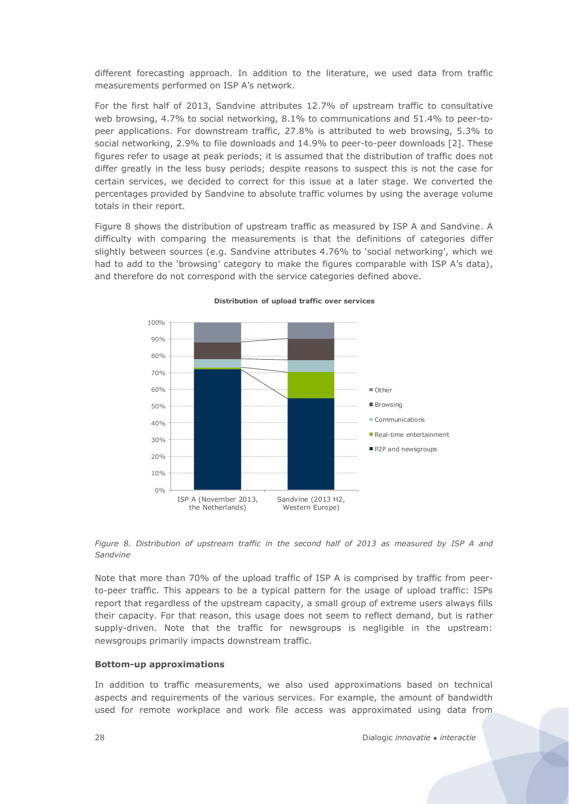different forecasting approach. In addition to the literature, we used data from traffic measurements performed on ISP A's network.

For the first half of 2013, Sandvine attributes 12.7% of upstream traffic to consultative web browsing, 4.7% to social networking, 8.1% to communications and 51.4% to peer-topeer applications. For downstream traffic, 27.8% is attributed to web browsing, 5.3% to social networking, 2.9% to file downloads and 14.9% to peer-to-peer downloads [\[2\].](#page-57-2) These figures refer to usage at peak periods; it is assumed that the distribution of traffic does not differ greatly in the less busy periods; despite reasons to suspect this is not the case for certain services, we decided to correct for this issue at a later stage. We converted the percentages provided by Sandvine to absolute traffic volumes by using the average volume totals in their report.

[Figure 8](#page-26-0) shows the distribution of upstream traffic as measured by ISP A and Sandvine. A difficulty with comparing the measurements is that the definitions of categories differ slightly between sources (e.g. Sandvine attributes 4.76% to 'social networking', which we had to add to the 'browsing' category to make the figures comparable with ISP A's data), and therefore do not correspond with the service categories defined above.



**Distribution of upload traffic over services**

<span id="page-26-0"></span>*Figure 8. Distribution of upstream traffic in the second half of 2013 as measured by ISP A and Sandvine*

Note that more than 70% of the upload traffic of ISP A is comprised by traffic from peerto-peer traffic. This appears to be a typical pattern for the usage of upload traffic: ISPs report that regardless of the upstream capacity, a small group of extreme users always fills their capacity. For that reason, this usage does not seem to reflect demand, but is rather supply-driven. Note that the traffic for newsgroups is negligible in the upstream: newsgroups primarily impacts downstream traffic.

#### **Bottom-up approximations**

In addition to traffic measurements, we also used approximations based on technical aspects and requirements of the various services. For example, the amount of bandwidth used for remote workplace and work file access was approximated using data from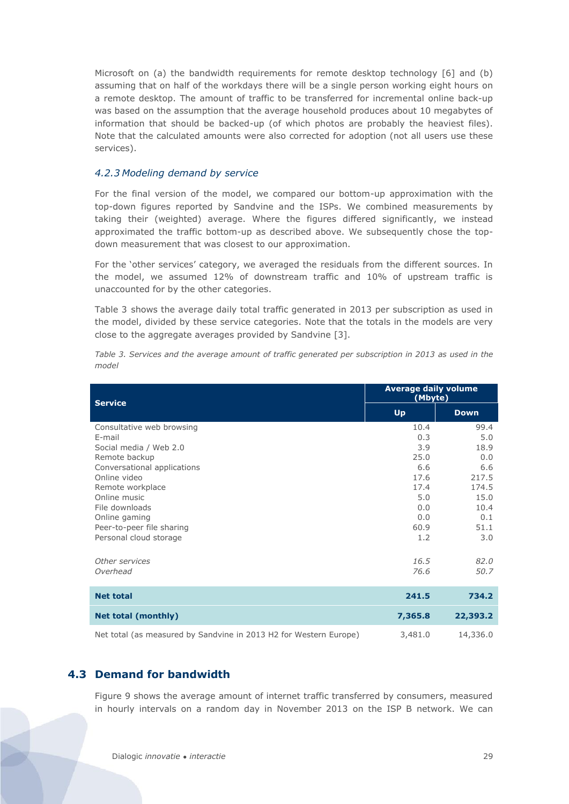Microsoft on (a) the bandwidth requirements for remote desktop technology [\[6\]](#page-57-10) and (b) assuming that on half of the workdays there will be a single person working eight hours on a remote desktop. The amount of traffic to be transferred for incremental online back-up was based on the assumption that the average household produces about 10 megabytes of information that should be backed-up (of which photos are probably the heaviest files). Note that the calculated amounts were also corrected for adoption (not all users use these services).

#### *4.2.3 Modeling demand by service*

For the final version of the model, we compared our bottom-up approximation with the top-down figures reported by Sandvine and the ISPs. We combined measurements by taking their (weighted) average. Where the figures differed significantly, we instead approximated the traffic bottom-up as described above. We subsequently chose the topdown measurement that was closest to our approximation.

For the 'other services' category, we averaged the residuals from the different sources. In the model, we assumed 12% of downstream traffic and 10% of upstream traffic is unaccounted for by the other categories.

[Table 3](#page-27-1) shows the average daily total traffic generated in 2013 per subscription as used in the model, divided by these service categories. Note that the totals in the models are very close to the aggregate averages provided by Sandvine [\[3\].](#page-57-8)

| <b>Service</b>                                                    | <b>Average daily volume</b><br>(Mbyte) |             |
|-------------------------------------------------------------------|----------------------------------------|-------------|
|                                                                   | <b>Up</b>                              | <b>Down</b> |
| Consultative web browsing                                         | 10.4                                   | 99.4        |
| E-mail                                                            | 0.3                                    | 5.0         |
| Social media / Web 2.0                                            | 3.9                                    | 18.9        |
| Remote backup                                                     | 25.0                                   | 0.0         |
| Conversational applications                                       | 6.6                                    | 6.6         |
| Online video                                                      | 17.6                                   | 217.5       |
| Remote workplace                                                  | 17.4                                   | 174.5       |
| Online music                                                      | 5.0                                    | 15.0        |
| File downloads                                                    | 0.0                                    | 10.4        |
| Online gaming                                                     | 0.0                                    | 0.1         |
| Peer-to-peer file sharing                                         | 60.9                                   | 51.1        |
| Personal cloud storage                                            | 1.2                                    | 3.0         |
| Other services                                                    | 16.5                                   | 82.0        |
| Overhead                                                          | 76.6                                   | 50.7        |
| <b>Net total</b>                                                  | 241.5                                  | 734.2       |
| <b>Net total (monthly)</b>                                        | 7,365.8                                | 22,393.2    |
| Net total (as measured by Sandvine in 2013 H2 for Western Europe) | 3,481.0                                | 14,336.0    |

<span id="page-27-1"></span>*Table 3. Services and the average amount of traffic generated per subscription in 2013 as used in the model*

# <span id="page-27-0"></span>**4.3 Demand for bandwidth**

[Figure 9](#page-28-0) shows the average amount of internet traffic transferred by consumers, measured in hourly intervals on a random day in November 2013 on the ISP B network. We can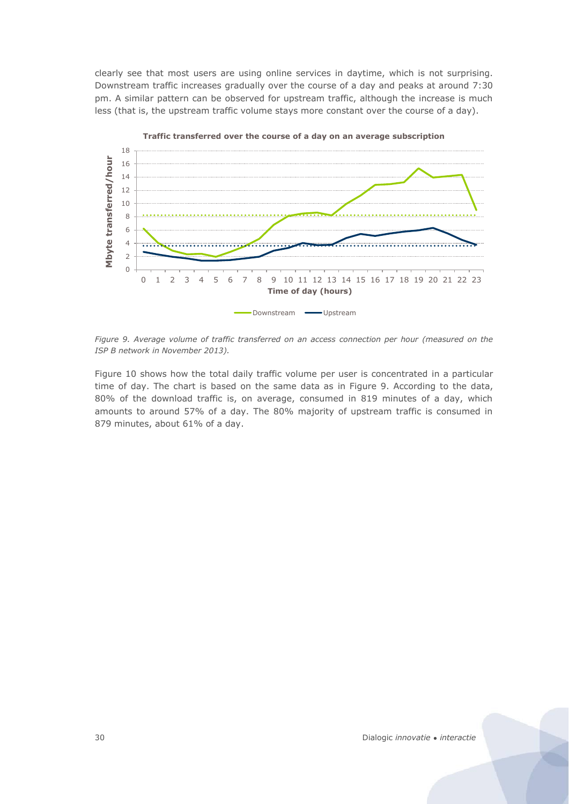clearly see that most users are using online services in daytime, which is not surprising. Downstream traffic increases gradually over the course of a day and peaks at around 7:30 pm. A similar pattern can be observed for upstream traffic, although the increase is much less (that is, the upstream traffic volume stays more constant over the course of a day).



<span id="page-28-0"></span>*Figure 9. Average volume of traffic transferred on an access connection per hour (measured on the ISP B network in November 2013).* 

[Figure 10](#page-29-1) shows how the total daily traffic volume per user is concentrated in a particular time of day. The chart is based on the same data as in [Figure 9.](#page-28-0) According to the data, 80% of the download traffic is, on average, consumed in 819 minutes of a day, which amounts to around 57% of a day. The 80% majority of upstream traffic is consumed in 879 minutes, about 61% of a day.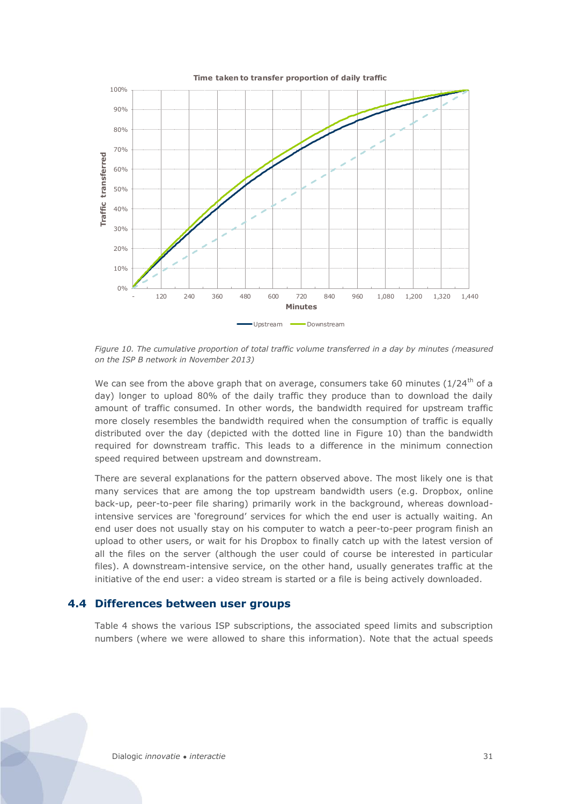

<span id="page-29-1"></span>*Figure 10. The cumulative proportion of total traffic volume transferred in a day by minutes (measured on the ISP B network in November 2013)*

We can see from the above graph that on average, consumers take 60 minutes ( $1/24<sup>th</sup>$  of a day) longer to upload 80% of the daily traffic they produce than to download the daily amount of traffic consumed. In other words, the bandwidth required for upstream traffic more closely resembles the bandwidth required when the consumption of traffic is equally distributed over the day (depicted with the dotted line in [Figure 10\)](#page-29-1) than the bandwidth required for downstream traffic. This leads to a difference in the minimum connection speed required between upstream and downstream.

There are several explanations for the pattern observed above. The most likely one is that many services that are among the top upstream bandwidth users (e.g. Dropbox, online back-up, peer-to-peer file sharing) primarily work in the background, whereas downloadintensive services are 'foreground' services for which the end user is actually waiting. An end user does not usually stay on his computer to watch a peer-to-peer program finish an upload to other users, or wait for his Dropbox to finally catch up with the latest version of all the files on the server (although the user could of course be interested in particular files). A downstream-intensive service, on the other hand, usually generates traffic at the initiative of the end user: a video stream is started or a file is being actively downloaded.

#### <span id="page-29-0"></span>**4.4 Differences between user groups**

[Table 4](#page-30-0) shows the various ISP subscriptions, the associated speed limits and subscription numbers (where we were allowed to share this information). Note that the actual speeds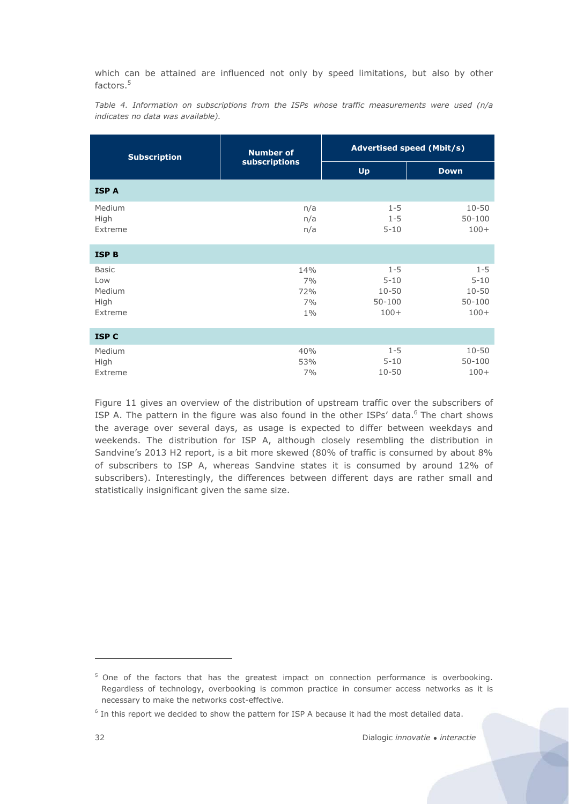which can be attained are influenced not only by speed limitations, but also by other factors. 5

<span id="page-30-0"></span>*Table 4. Information on subscriptions from the ISPs whose traffic measurements were used (n/a indicates no data was available).*

| <b>Subscription</b>                              | <b>Number of</b>                | <b>Advertised speed (Mbit/s)</b>                         |                                                          |  |  |  |
|--------------------------------------------------|---------------------------------|----------------------------------------------------------|----------------------------------------------------------|--|--|--|
|                                                  | subscriptions                   | Up                                                       | <b>Down</b>                                              |  |  |  |
| <b>ISPA</b>                                      |                                 |                                                          |                                                          |  |  |  |
| Medium<br>High<br>Extreme                        | n/a<br>n/a<br>n/a               | $1 - 5$<br>$1 - 5$<br>$5 - 10$                           | $10 - 50$<br>$50 - 100$<br>$100+$                        |  |  |  |
| <b>ISP B</b>                                     |                                 |                                                          |                                                          |  |  |  |
| <b>Basic</b><br>Low<br>Medium<br>High<br>Extreme | 14%<br>7%<br>72%<br>7%<br>$1\%$ | $1 - 5$<br>$5 - 10$<br>$10 - 50$<br>$50 - 100$<br>$100+$ | $1 - 5$<br>$5 - 10$<br>$10 - 50$<br>$50 - 100$<br>$100+$ |  |  |  |
| <b>ISP C</b>                                     |                                 |                                                          |                                                          |  |  |  |
| Medium<br>High<br>Extreme                        | 40%<br>53%<br>7%                | $1 - 5$<br>$5 - 10$<br>$10 - 50$                         | $10 - 50$<br>$50 - 100$<br>$100+$                        |  |  |  |

[Figure 11](#page-31-0) gives an overview of the distribution of upstream traffic over the subscribers of ISP A. The pattern in the figure was also found in the other ISPs' data.<sup>6</sup> The chart shows the average over several days, as usage is expected to differ between weekdays and weekends. The distribution for ISP A, although closely resembling the distribution in Sandvine's 2013 H2 report, is a bit more skewed (80% of traffic is consumed by about 8% of subscribers to ISP A, whereas Sandvine states it is consumed by around 12% of subscribers). Interestingly, the differences between different days are rather small and statistically insignificant given the same size.

 $\overline{a}$ 

 $5$  One of the factors that has the greatest impact on connection performance is overbooking. Regardless of technology, overbooking is common practice in consumer access networks as it is necessary to make the networks cost-effective.

<sup>6</sup> In this report we decided to show the pattern for ISP A because it had the most detailed data.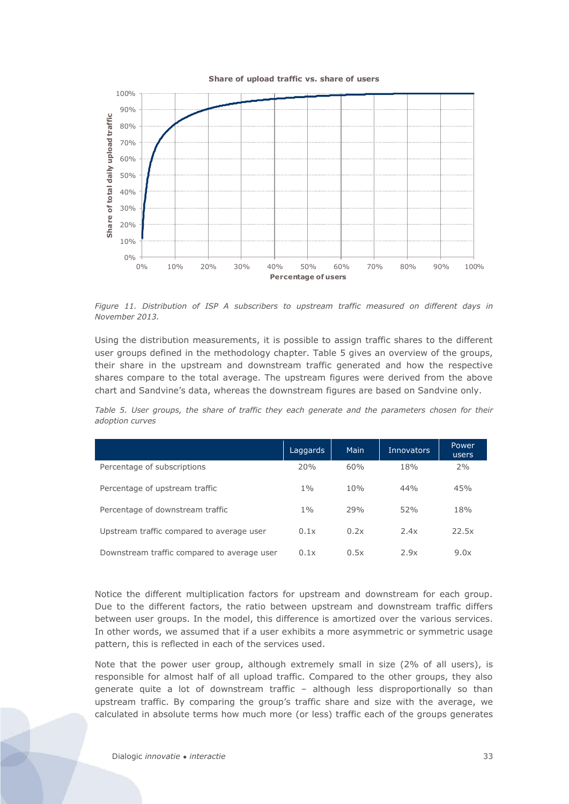#### **Share of upload traffic vs. share of users**



<span id="page-31-0"></span>*Figure 11. Distribution of ISP A subscribers to upstream traffic measured on different days in November 2013.* 

Using the distribution measurements, it is possible to assign traffic shares to the different user groups defined in the methodology chapter. [Table 5](#page-31-1) gives an overview of the groups, their share in the upstream and downstream traffic generated and how the respective shares compare to the total average. The upstream figures were derived from the above chart and Sandvine's data, whereas the downstream figures are based on Sandvine only.

<span id="page-31-1"></span>*Table 5. User groups, the share of traffic they each generate and the parameters chosen for their adoption curves*

|                                             | Laggards | Main | <b>Innovators</b> | Power<br>users |
|---------------------------------------------|----------|------|-------------------|----------------|
| Percentage of subscriptions                 | 20%      | 60%  | 18%               | 2%             |
| Percentage of upstream traffic              | $1\%$    | 10%  | 44%               | 45%            |
| Percentage of downstream traffic            | $1\%$    | 79%  | 52%               | 18%            |
| Upstream traffic compared to average user   | 0.1x     | 0.2x | 2.4x              | 22.5x          |
| Downstream traffic compared to average user | 0.1x     | 0.5x | 2.9x              | 9.0x           |

Notice the different multiplication factors for upstream and downstream for each group. Due to the different factors, the ratio between upstream and downstream traffic differs between user groups. In the model, this difference is amortized over the various services. In other words, we assumed that if a user exhibits a more asymmetric or symmetric usage pattern, this is reflected in each of the services used.

Note that the power user group, although extremely small in size (2% of all users), is responsible for almost half of all upload traffic. Compared to the other groups, they also generate quite a lot of downstream traffic – although less disproportionally so than upstream traffic. By comparing the group's traffic share and size with the average, we calculated in absolute terms how much more (or less) traffic each of the groups generates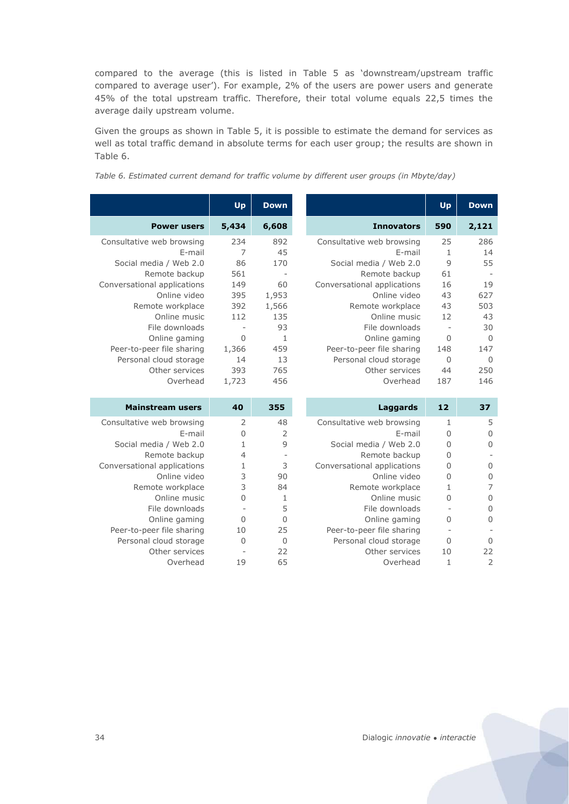compared to the average (this is listed in [Table 5](#page-31-1) as 'downstream/upstream traffic compared to average user'). For example, 2% of the users are power users and generate 45% of the total upstream traffic. Therefore, their total volume equals 22,5 times the average daily upstream volume.

Given the groups as shown in [Table 5,](#page-31-1) it is possible to estimate the demand for services as well as total traffic demand in absolute terms for each user group; the results are shown in [Table 6.](#page-32-0)

|                             | Up           | <b>Down</b>    |                             | Up             | <b>Down</b>    |
|-----------------------------|--------------|----------------|-----------------------------|----------------|----------------|
| <b>Power users</b>          | 5,434        | 6,608          | <b>Innovators</b>           | 590            | 2,121          |
| Consultative web browsing   | 234          | 892            | Consultative web browsing   | 25             | 286            |
| E-mail                      | 7            | 45             | E-mail                      | 1              | 14             |
| Social media / Web 2.0      | 86           | 170            | Social media / Web 2.0      | 9              | 55             |
| Remote backup               | 561          | $\overline{a}$ | Remote backup               | 61             |                |
| Conversational applications | 149          | 60             | Conversational applications | 16             | 19             |
| Online video                | 395          | 1,953          | Online video                | 43             | 627            |
| Remote workplace            | 392          | 1,566          | Remote workplace            | 43             | 503            |
| Online music                | 112          | 135            | Online music                | 12             | 43             |
| File downloads              |              | 93             | File downloads              |                | 30             |
| Online gaming               | $\Omega$     | $\mathbf{1}$   | Online gaming               | $\Omega$       | $\Omega$       |
| Peer-to-peer file sharing   | 1,366        | 459            | Peer-to-peer file sharing   | 148            | 147            |
| Personal cloud storage      | 14           | 13             | Personal cloud storage      | $\Omega$       | $\Omega$       |
| Other services              | 393          | 765            | Other services              | 44             | 250            |
| Overhead                    | 1,723        | 456            | Overhead                    | 187            | 146            |
|                             |              |                |                             |                |                |
| <b>Mainstream users</b>     | 40           | 355            | Laggards                    | 12             | 37             |
| Consultative web browsing   | 2            | 48             | Consultative web browsing   | $\mathbf{1}$   | 5              |
| E-mail                      | 0            | $\overline{2}$ | E-mail                      | $\overline{0}$ | 0              |
| Social media / Web 2.0      | $\mathbf{1}$ | 9              | Social media / Web 2.0      | $\mathbf 0$    | $\overline{0}$ |
| Remote backup               | 4            | $\overline{a}$ | Remote backup               | $\overline{0}$ |                |
| Conversational applications | 1            | 3              | Conversational applications | 0              | $\overline{0}$ |
| Online video                | 3            | 90             | Online video                | $\overline{0}$ | 0              |
| Remote workplace            | 3            | 84             | Remote workplace            | 1              | 7              |
| Online music                | 0            | 1              | Online music                | 0              | $\mathbf 0$    |
| File downloads              |              | 5              | File downloads              |                | $\overline{0}$ |
| Online gaming               | $\Omega$     | $\overline{0}$ | Online gaming               | $\Omega$       | $\mathbf 0$    |
| Peer-to-peer file sharing   | 10           | 25             | Peer-to-peer file sharing   |                |                |
| Personal cloud storage      | $\Omega$     | $\overline{0}$ | Personal cloud storage      | $\Omega$       | $\mathbf 0$    |
| Other services              |              | 22             | Other services              | 10             | 22             |
| Overhead                    | 19           | 65             | Overhead                    | 1              | $\overline{2}$ |

<span id="page-32-0"></span>*Table 6. Estimated current demand for traffic volume by different user groups (in Mbyte/day)*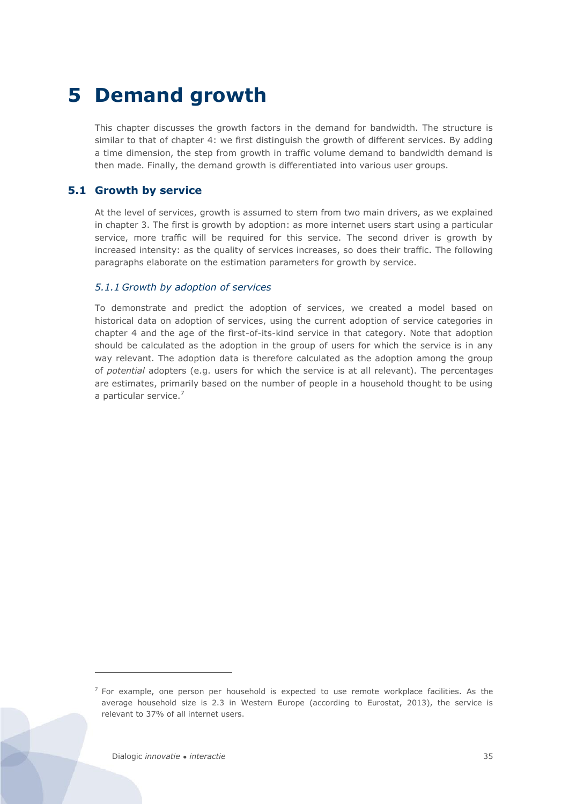# <span id="page-33-0"></span>**5 Demand growth**

This chapter discusses the growth factors in the demand for bandwidth. The structure is similar to that of chapter [4:](#page-23-0) we first distinguish the growth of different services. By adding a time dimension, the step from growth in traffic volume demand to bandwidth demand is then made. Finally, the demand growth is differentiated into various user groups.

# <span id="page-33-1"></span>**5.1 Growth by service**

At the level of services, growth is assumed to stem from two main drivers, as we explained in chapter 3. The first is growth by adoption: as more internet users start using a particular service, more traffic will be required for this service. The second driver is growth by increased intensity: as the quality of services increases, so does their traffic. The following paragraphs elaborate on the estimation parameters for growth by service.

#### <span id="page-33-2"></span>*5.1.1 Growth by adoption of services*

To demonstrate and predict the adoption of services, we created a model based on historical data on adoption of services, using the current adoption of service categories in chapter [4](#page-23-0) and the age of the first-of-its-kind service in that category. Note that adoption should be calculated as the adoption in the group of users for which the service is in any way relevant. The adoption data is therefore calculated as the adoption among the group of *potential* adopters (e.g. users for which the service is at all relevant). The percentages are estimates, primarily based on the number of people in a household thought to be using a particular service.<sup>7</sup>

 $\overline{a}$ 

 $<sup>7</sup>$  For example, one person per household is expected to use remote workplace facilities. As the</sup> average household size is 2.3 in Western Europe (according to Eurostat, 2013), the service is relevant to 37% of all internet users.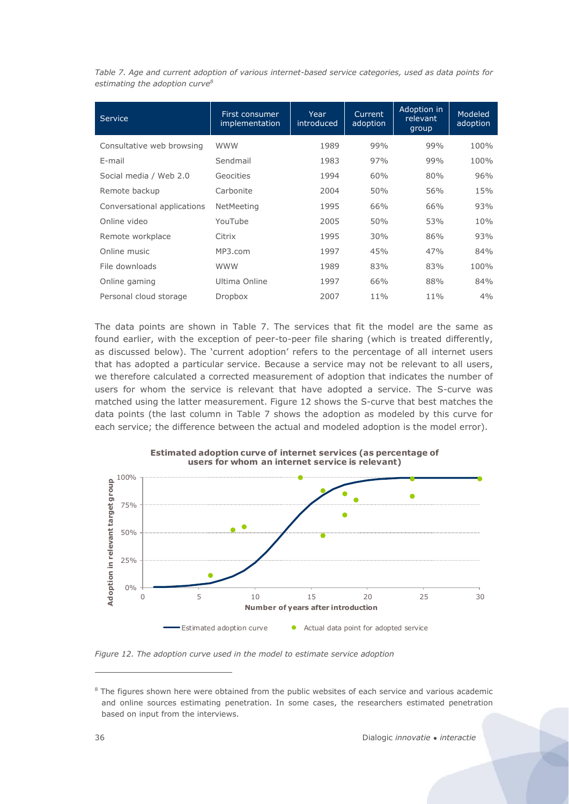<span id="page-34-0"></span>*Table 7. Age and current adoption of various internet-based service categories, used as data points for estimating the adoption curve8*

| <b>Service</b>              | First consumer<br>implementation | Year<br>introduced | Current<br>adoption | Adoption in<br>relevant<br>group | Modeled<br>adoption |
|-----------------------------|----------------------------------|--------------------|---------------------|----------------------------------|---------------------|
| Consultative web browsing   | <b>WWW</b>                       | 1989               | 99%                 | 99%                              | 100%                |
| E-mail                      | Sendmail                         | 1983               | 97%                 | 99%                              | 100%                |
| Social media / Web 2.0      | Geocities                        | 1994               | 60%                 | 80%                              | 96%                 |
| Remote backup               | Carbonite                        | 2004               | 50%                 | 56%                              | 15%                 |
| Conversational applications | NetMeeting                       | 1995               | 66%                 | 66%                              | 93%                 |
| Online video                | YouTube                          | 2005               | 50%                 | 53%                              | 10%                 |
| Remote workplace            | Citrix                           | 1995               | 30%                 | 86%                              | 93%                 |
| Online music                | MP3.com                          | 1997               | 45%                 | 47%                              | 84%                 |
| File downloads              | <b>WWW</b>                       | 1989               | 83%                 | 83%                              | 100%                |
| Online gaming               | Ultima Online                    | 1997               | 66%                 | 88%                              | 84%                 |
| Personal cloud storage      | Dropbox                          | 2007               | 11%                 | $11\%$                           | 4%                  |

The data points are shown in [Table 7.](#page-34-0) The services that fit the model are the same as found earlier, with the exception of peer-to-peer file sharing (which is treated differently, as discussed below). The 'current adoption' refers to the percentage of all internet users that has adopted a particular service. Because a service may not be relevant to all users, we therefore calculated a corrected measurement of adoption that indicates the number of users for whom the service is relevant that have adopted a service. The S-curve was matched using the latter measurement. [Figure 12](#page-34-1) shows the S-curve that best matches the data points (the last column in [Table 7](#page-34-0) shows the adoption as modeled by this curve for each service; the difference between the actual and modeled adoption is the model error).



<span id="page-34-1"></span>*Figure 12. The adoption curve used in the model to estimate service adoption*

 $\overline{a}$ 

 $8$  The figures shown here were obtained from the public websites of each service and various academic and online sources estimating penetration. In some cases, the researchers estimated penetration based on input from the interviews.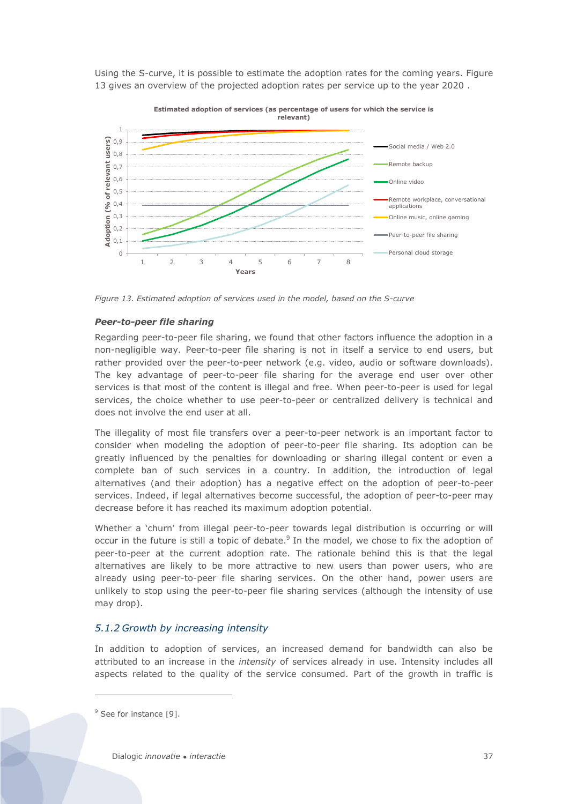Using the S-curve, it is possible to estimate the adoption rates for the coming years. [Figure](#page-35-0)  [13](#page-35-0) gives an overview of the projected adoption rates per service up to the year 2020 .



<span id="page-35-0"></span>*Figure 13. Estimated adoption of services used in the model, based on the S-curve*

#### *Peer-to-peer file sharing*

Regarding peer-to-peer file sharing, we found that other factors influence the adoption in a non-negligible way. Peer-to-peer file sharing is not in itself a service to end users, but rather provided over the peer-to-peer network (e.g. video, audio or software downloads). The key advantage of peer-to-peer file sharing for the average end user over other services is that most of the content is illegal and free. When peer-to-peer is used for legal services, the choice whether to use peer-to-peer or centralized delivery is technical and does not involve the end user at all.

The illegality of most file transfers over a peer-to-peer network is an important factor to consider when modeling the adoption of peer-to-peer file sharing. Its adoption can be greatly influenced by the penalties for downloading or sharing illegal content or even a complete ban of such services in a country. In addition, the introduction of legal alternatives (and their adoption) has a negative effect on the adoption of peer-to-peer services. Indeed, if legal alternatives become successful, the adoption of peer-to-peer may decrease before it has reached its maximum adoption potential.

Whether a 'churn' from illegal peer-to-peer towards legal distribution is occurring or will occur in the future is still a topic of debate.<sup>9</sup> In the model, we chose to fix the adoption of peer-to-peer at the current adoption rate. The rationale behind this is that the legal alternatives are likely to be more attractive to new users than power users, who are already using peer-to-peer file sharing services. On the other hand, power users are unlikely to stop using the peer-to-peer file sharing services (although the intensity of use may drop).

#### *5.1.2 Growth by increasing intensity*

In addition to adoption of services, an increased demand for bandwidth can also be attributed to an increase in the *intensity* of services already in use. Intensity includes all aspects related to the quality of the service consumed. Part of the growth in traffic is

 $\overline{a}$ 

Dialogic *innovatie ● interactie* 37

<sup>&</sup>lt;sup>9</sup> See for instance [\[9\].](#page-57-11)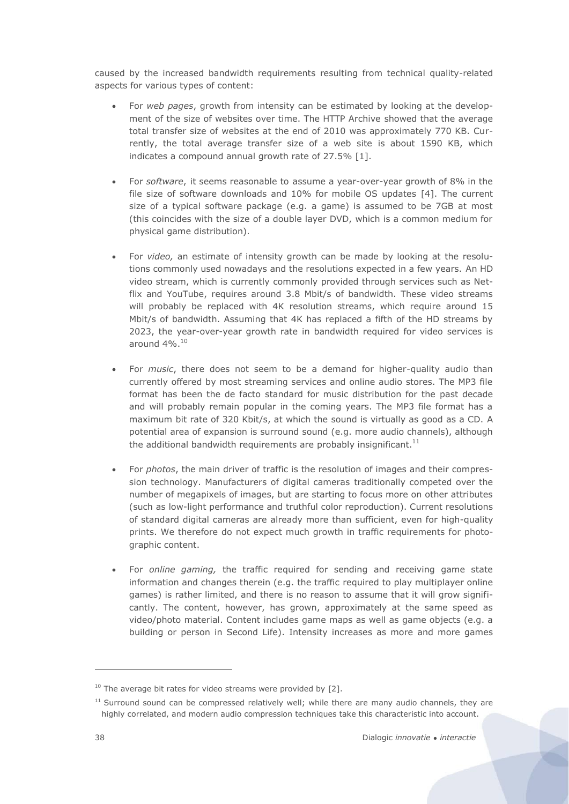caused by the increased bandwidth requirements resulting from technical quality-related aspects for various types of content:

- For *web pages*, growth from intensity can be estimated by looking at the development of the size of websites over time. The HTTP Archive showed that the average total transfer size of websites at the end of 2010 was approximately 770 KB. Currently, the total average transfer size of a web site is about 1590 KB, which indicates a compound annual growth rate of 27.5% [\[1\].](#page-57-12)
- For *software*, it seems reasonable to assume a year-over-year growth of 8% in the file size of software downloads and 10% for mobile OS updates [\[4\].](#page-57-9) The current size of a typical software package (e.g. a game) is assumed to be 7GB at most (this coincides with the size of a double layer DVD, which is a common medium for physical game distribution).
- For *video*, an estimate of intensity growth can be made by looking at the resolutions commonly used nowadays and the resolutions expected in a few years. An HD video stream, which is currently commonly provided through services such as Netflix and YouTube, requires around 3.8 Mbit/s of bandwidth. These video streams will probably be replaced with 4K resolution streams, which require around 15 Mbit/s of bandwidth. Assuming that 4K has replaced a fifth of the HD streams by 2023, the year-over-year growth rate in bandwidth required for video services is around 4%. 10
- For *music*, there does not seem to be a demand for higher-quality audio than currently offered by most streaming services and online audio stores. The MP3 file format has been the de facto standard for music distribution for the past decade and will probably remain popular in the coming years. The MP3 file format has a maximum bit rate of 320 Kbit/s, at which the sound is virtually as good as a CD. A potential area of expansion is surround sound (e.g. more audio channels), although the additional bandwidth requirements are probably insignificant.<sup>11</sup>
- For *photos*, the main driver of traffic is the resolution of images and their compression technology. Manufacturers of digital cameras traditionally competed over the number of megapixels of images, but are starting to focus more on other attributes (such as low-light performance and truthful color reproduction). Current resolutions of standard digital cameras are already more than sufficient, even for high-quality prints. We therefore do not expect much growth in traffic requirements for photographic content.
- For *online gaming*, the traffic required for sending and receiving game state information and changes therein (e.g. the traffic required to play multiplayer online games) is rather limited, and there is no reason to assume that it will grow significantly. The content, however, has grown, approximately at the same speed as video/photo material. Content includes game maps as well as game objects (e.g. a building or person in Second Life). Intensity increases as more and more games

 $\overline{a}$ 

 $10$  The average bit rates for video streams were provided by [\[2\].](#page-57-2)

 $11$  Surround sound can be compressed relatively well; while there are many audio channels, they are highly correlated, and modern audio compression techniques take this characteristic into account.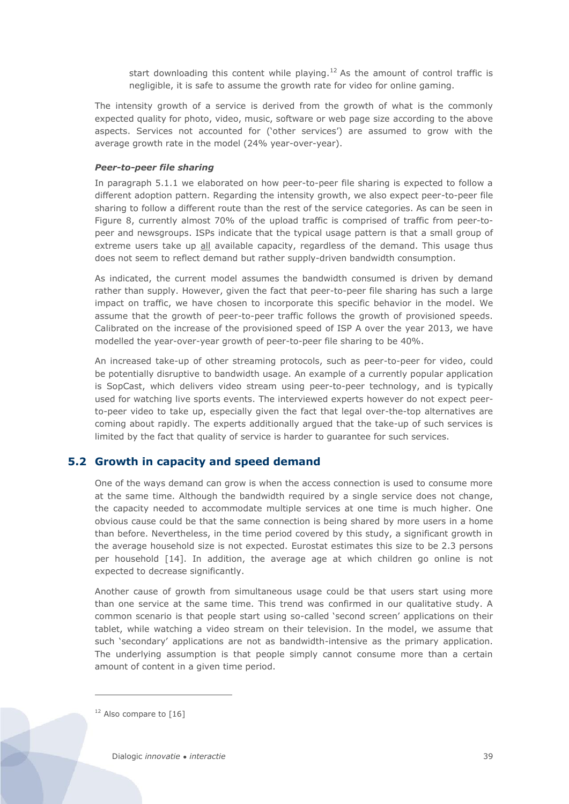start downloading this content while playing.<sup>12</sup> As the amount of control traffic is negligible, it is safe to assume the growth rate for video for online gaming.

The intensity growth of a service is derived from the growth of what is the commonly expected quality for photo, video, music, software or web page size according to the above aspects. Services not accounted for ('other services') are assumed to grow with the average growth rate in the model (24% year-over-year).

#### *Peer-to-peer file sharing*

In paragraph [5.1.1](#page-33-2) we elaborated on how peer-to-peer file sharing is expected to follow a different adoption pattern. Regarding the intensity growth, we also expect peer-to-peer file sharing to follow a different route than the rest of the service categories. As can be seen in [Figure 8,](#page-26-0) currently almost 70% of the upload traffic is comprised of traffic from peer-topeer and newsgroups. ISPs indicate that the typical usage pattern is that a small group of extreme users take up all available capacity, regardless of the demand. This usage thus does not seem to reflect demand but rather supply-driven bandwidth consumption.

As indicated, the current model assumes the bandwidth consumed is driven by demand rather than supply. However, given the fact that peer-to-peer file sharing has such a large impact on traffic, we have chosen to incorporate this specific behavior in the model. We assume that the growth of peer-to-peer traffic follows the growth of provisioned speeds. Calibrated on the increase of the provisioned speed of ISP A over the year 2013, we have modelled the year-over-year growth of peer-to-peer file sharing to be 40%.

An increased take-up of other streaming protocols, such as peer-to-peer for video, could be potentially disruptive to bandwidth usage. An example of a currently popular application is SopCast, which delivers video stream using peer-to-peer technology, and is typically used for watching live sports events. The interviewed experts however do not expect peerto-peer video to take up, especially given the fact that legal over-the-top alternatives are coming about rapidly. The experts additionally argued that the take-up of such services is limited by the fact that quality of service is harder to guarantee for such services.

# <span id="page-37-0"></span>**5.2 Growth in capacity and speed demand**

One of the ways demand can grow is when the access connection is used to consume more at the same time. Although the bandwidth required by a single service does not change, the capacity needed to accommodate multiple services at one time is much higher. One obvious cause could be that the same connection is being shared by more users in a home than before. Nevertheless, in the time period covered by this study, a significant growth in the average household size is not expected. Eurostat estimates this size to be 2.3 persons per household [\[14\].](#page-57-13) In addition, the average age at which children go online is not expected to decrease significantly.

Another cause of growth from simultaneous usage could be that users start using more than one service at the same time. This trend was confirmed in our qualitative study. A common scenario is that people start using so-called 'second screen' applications on their tablet, while watching a video stream on their television. In the model, we assume that such 'secondary' applications are not as bandwidth-intensive as the primary application. The underlying assumption is that people simply cannot consume more than a certain amount of content in a given time period.

<sup>12</sup> Also compare to [\[16\]](#page-57-14)

 $\overline{a}$ 

Dialogic *innovatie ● interactie* 39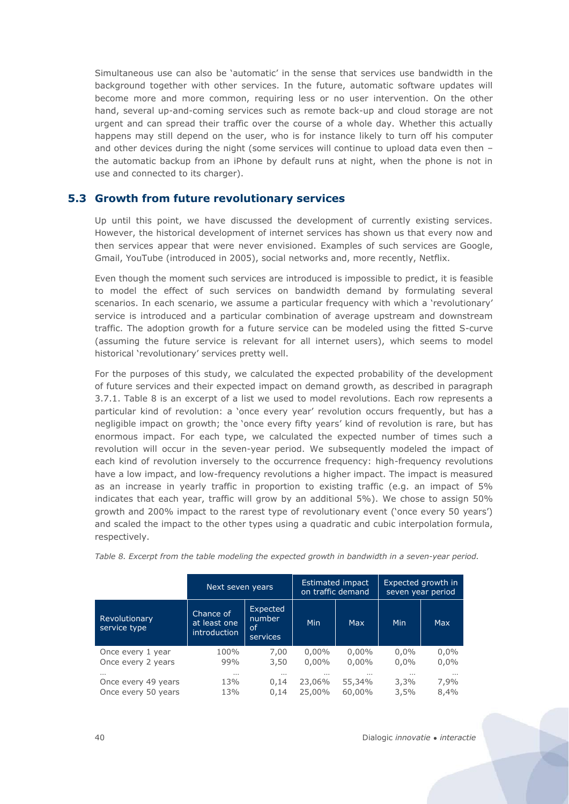Simultaneous use can also be 'automatic' in the sense that services use bandwidth in the background together with other services. In the future, automatic software updates will become more and more common, requiring less or no user intervention. On the other hand, several up-and-coming services such as remote back-up and cloud storage are not urgent and can spread their traffic over the course of a whole day. Whether this actually happens may still depend on the user, who is for instance likely to turn off his computer and other devices during the night (some services will continue to upload data even then the automatic backup from an iPhone by default runs at night, when the phone is not in use and connected to its charger).

### <span id="page-38-0"></span>**5.3 Growth from future revolutionary services**

Up until this point, we have discussed the development of currently existing services. However, the historical development of internet services has shown us that every now and then services appear that were never envisioned. Examples of such services are Google, Gmail, YouTube (introduced in 2005), social networks and, more recently, Netflix.

Even though the moment such services are introduced is impossible to predict, it is feasible to model the effect of such services on bandwidth demand by formulating several scenarios. In each scenario, we assume a particular frequency with which a 'revolutionary' service is introduced and a particular combination of average upstream and downstream traffic. The adoption growth for a future service can be modeled using the fitted S-curve (assuming the future service is relevant for all internet users), which seems to model historical 'revolutionary' services pretty well.

For the purposes of this study, we calculated the expected probability of the development of future services and their expected impact on demand growth, as described in paragraph [3.7.1.](#page-21-0) [Table 8](#page-38-1) is an excerpt of a list we used to model revolutions. Each row represents a particular kind of revolution: a 'once every year' revolution occurs frequently, but has a negligible impact on growth; the 'once every fifty years' kind of revolution is rare, but has enormous impact. For each type, we calculated the expected number of times such a revolution will occur in the seven-year period. We subsequently modeled the impact of each kind of revolution inversely to the occurrence frequency: high-frequency revolutions have a low impact, and low-frequency revolutions a higher impact. The impact is measured as an increase in yearly traffic in proportion to existing traffic (e.g. an impact of 5% indicates that each year, traffic will grow by an additional 5%). We chose to assign 50% growth and 200% impact to the rarest type of revolutionary event ('once every 50 years') and scaled the impact to the other types using a quadratic and cubic interpolation formula, respectively.

|                               | Next seven years                                 |                                      | on traffic demand | Estimated impact | Expected growth in<br>seven year period |            |  |
|-------------------------------|--------------------------------------------------|--------------------------------------|-------------------|------------------|-----------------------------------------|------------|--|
| Revolutionary<br>service type | Chance of<br>at least one<br><i>introduction</i> | Expected<br>number<br>οf<br>services | <b>Min</b>        | <b>Max</b>       | <b>Min</b>                              | <b>Max</b> |  |
| Once every 1 year             | 100%                                             | 7,00                                 | $0,00\%$          | $0,00\%$         | 0,0%                                    | 0,0%       |  |
| Once every 2 years            | 99%                                              | 3,50                                 | $0,00\%$          | $0.00\%$         | $0.0\%$                                 | 0,0%       |  |
| $\cdots$                      | $\cdots$                                         | $\cdots$                             |                   |                  |                                         | $\cdots$   |  |
| Once every 49 years           | 13%                                              | 0,14                                 | 23,06%            | 55,34%           | 3,3%                                    | 7,9%       |  |
| Once every 50 years           | 13%                                              | 0.14                                 | 25,00%            | 60,00%           | 3,5%                                    | 8,4%       |  |

<span id="page-38-1"></span>*Table 8. Excerpt from the table modeling the expected growth in bandwidth in a seven-year period.*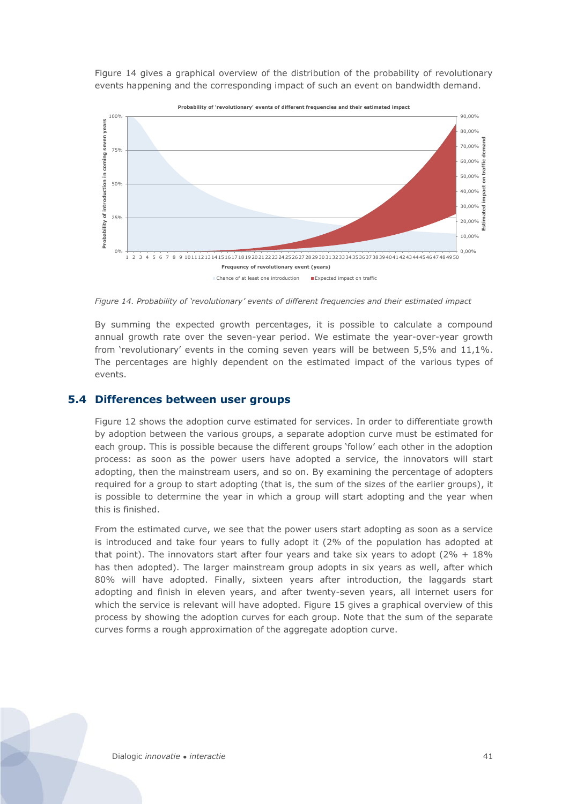[Figure 14](#page-39-1) gives a graphical overview of the distribution of the probability of revolutionary events happening and the corresponding impact of such an event on bandwidth demand.



<span id="page-39-1"></span>*Figure 14. Probability of 'revolutionary' events of different frequencies and their estimated impact*

By summing the expected growth percentages, it is possible to calculate a compound annual growth rate over the seven-year period. We estimate the year-over-year growth from 'revolutionary' events in the coming seven years will be between 5,5% and 11,1%. The percentages are highly dependent on the estimated impact of the various types of events.

#### <span id="page-39-0"></span>**5.4 Differences between user groups**

[Figure 12](#page-34-1) shows the adoption curve estimated for services. In order to differentiate growth by adoption between the various groups, a separate adoption curve must be estimated for each group. This is possible because the different groups 'follow' each other in the adoption process: as soon as the power users have adopted a service, the innovators will start adopting, then the mainstream users, and so on. By examining the percentage of adopters required for a group to start adopting (that is, the sum of the sizes of the earlier groups), it is possible to determine the year in which a group will start adopting and the year when this is finished.

From the estimated curve, we see that the power users start adopting as soon as a service is introduced and take four years to fully adopt it (2% of the population has adopted at that point). The innovators start after four years and take six years to adopt  $(2\% + 18\%)$ has then adopted). The larger mainstream group adopts in six years as well, after which 80% will have adopted. Finally, sixteen years after introduction, the laggards start adopting and finish in eleven years, and after twenty-seven years, all internet users for which the service is relevant will have adopted. [Figure 15](#page-40-0) gives a graphical overview of this process by showing the adoption curves for each group. Note that the sum of the separate curves forms a rough approximation of the aggregate adoption curve.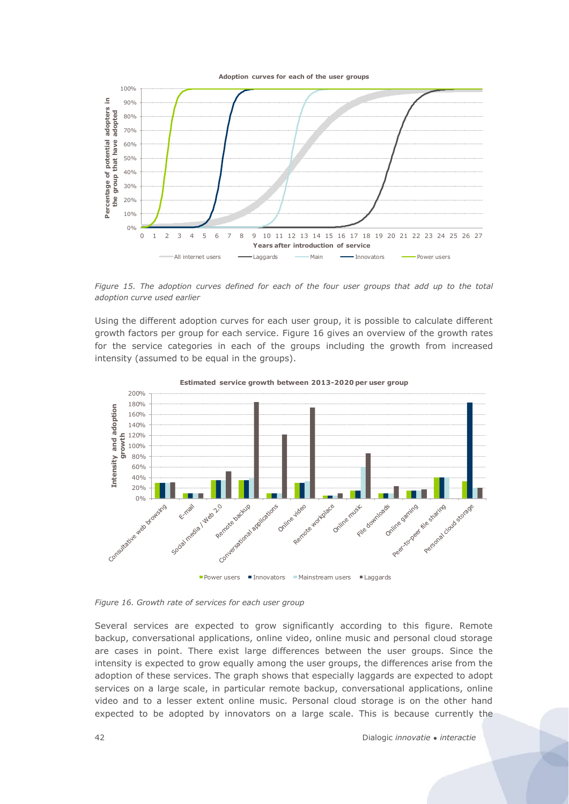



<span id="page-40-0"></span>*Figure 15. The adoption curves defined for each of the four user groups that add up to the total adoption curve used earlier*

Using the different adoption curves for each user group, it is possible to calculate different growth factors per group for each service. [Figure 16](#page-40-1) gives an overview of the growth rates for the service categories in each of the groups including the growth from increased intensity (assumed to be equal in the groups).



<span id="page-40-1"></span>*Figure 16. Growth rate of services for each user group*

Several services are expected to grow significantly according to this figure. Remote backup, conversational applications, online video, online music and personal cloud storage are cases in point. There exist large differences between the user groups. Since the intensity is expected to grow equally among the user groups, the differences arise from the adoption of these services. The graph shows that especially laggards are expected to adopt services on a large scale, in particular remote backup, conversational applications, online video and to a lesser extent online music. Personal cloud storage is on the other hand expected to be adopted by innovators on a large scale. This is because currently the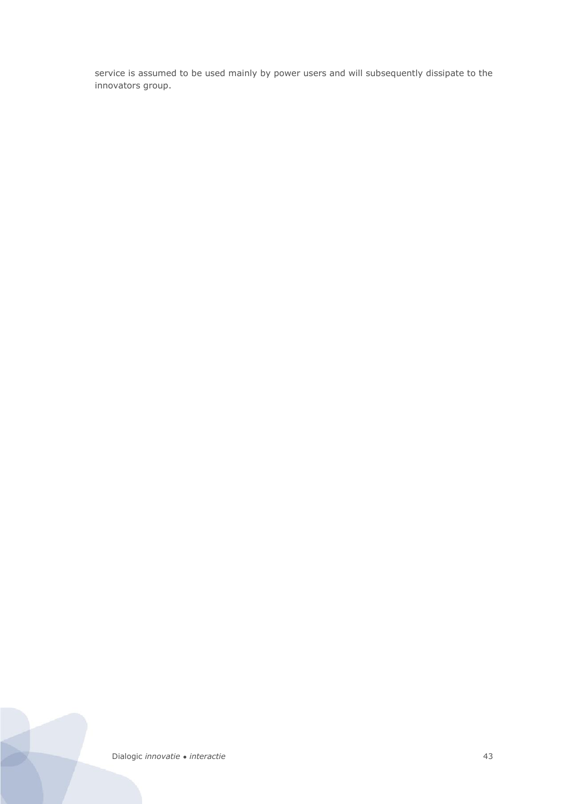service is assumed to be used mainly by power users and will subsequently dissipate to the innovators group.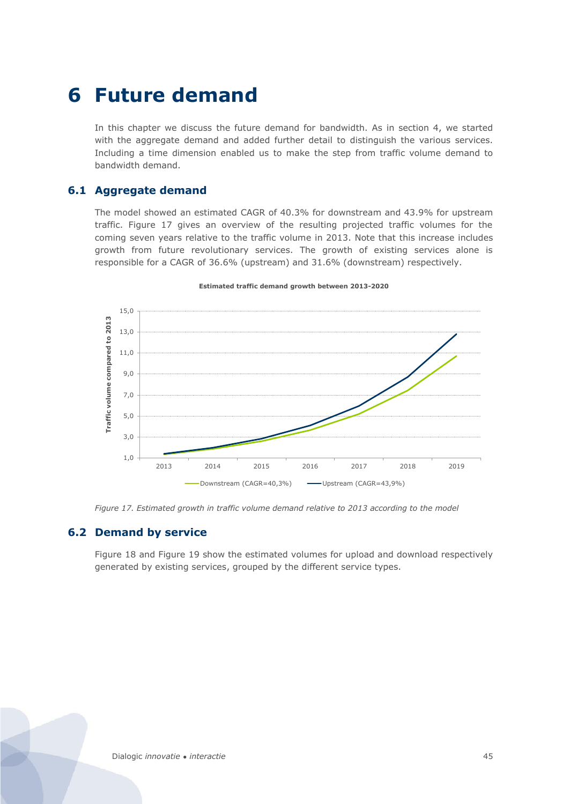# <span id="page-43-0"></span>**6 Future demand**

In this chapter we discuss the future demand for bandwidth. As in section 4, we started with the aggregate demand and added further detail to distinguish the various services. Including a time dimension enabled us to make the step from traffic volume demand to bandwidth demand.

# <span id="page-43-1"></span>**6.1 Aggregate demand**

The model showed an estimated CAGR of 40.3% for downstream and 43.9% for upstream traffic. [Figure 17](#page-43-3) gives an overview of the resulting projected traffic volumes for the coming seven years relative to the traffic volume in 2013. Note that this increase includes growth from future revolutionary services. The growth of existing services alone is responsible for a CAGR of 36.6% (upstream) and 31.6% (downstream) respectively.



#### **Estimated traffic demand growth between 2013-2020**

<span id="page-43-3"></span><span id="page-43-2"></span>*Figure 17. Estimated growth in traffic volume demand relative to 2013 according to the model*

### **6.2 Demand by service**

[Figure 18](#page-44-0) and [Figure 19](#page-45-1) show the estimated volumes for upload and download respectively generated by existing services, grouped by the different service types.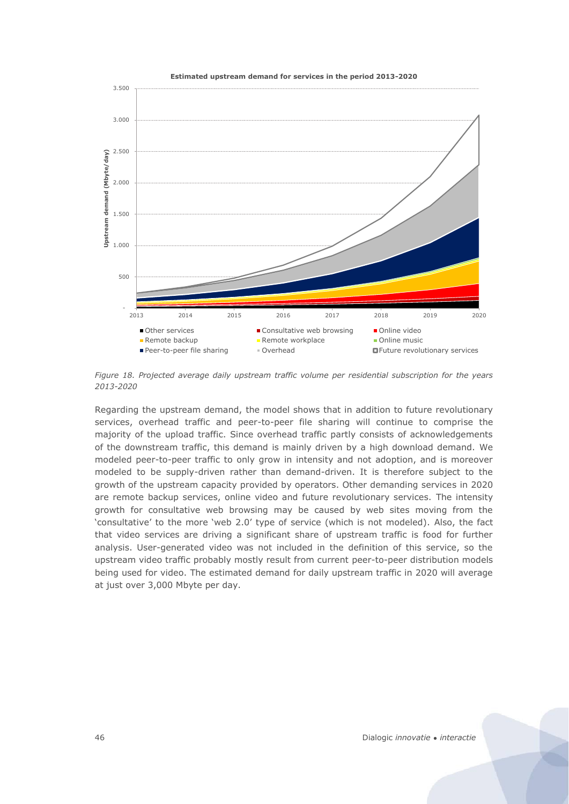

<span id="page-44-0"></span>*Figure 18. Projected average daily upstream traffic volume per residential subscription for the years 2013-2020*

Regarding the upstream demand, the model shows that in addition to future revolutionary services, overhead traffic and peer-to-peer file sharing will continue to comprise the majority of the upload traffic. Since overhead traffic partly consists of acknowledgements of the downstream traffic, this demand is mainly driven by a high download demand. We modeled peer-to-peer traffic to only grow in intensity and not adoption, and is moreover modeled to be supply-driven rather than demand-driven. It is therefore subject to the growth of the upstream capacity provided by operators. Other demanding services in 2020 are remote backup services, online video and future revolutionary services. The intensity growth for consultative web browsing may be caused by web sites moving from the 'consultative' to the more 'web 2.0' type of service (which is not modeled). Also, the fact that video services are driving a significant share of upstream traffic is food for further analysis. User-generated video was not included in the definition of this service, so the upstream video traffic probably mostly result from current peer-to-peer distribution models being used for video. The estimated demand for daily upstream traffic in 2020 will average at just over 3,000 Mbyte per day.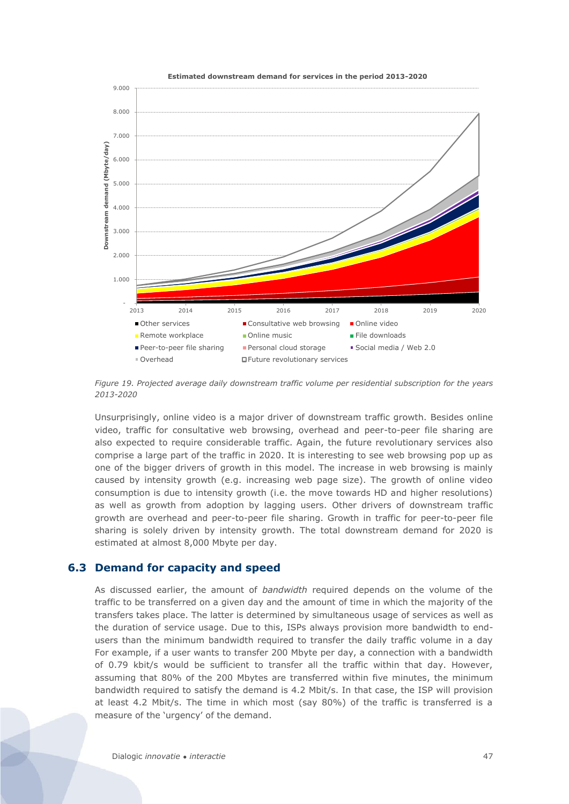

<span id="page-45-1"></span>*Figure 19. Projected average daily downstream traffic volume per residential subscription for the years 2013-2020*

Unsurprisingly, online video is a major driver of downstream traffic growth. Besides online video, traffic for consultative web browsing, overhead and peer-to-peer file sharing are also expected to require considerable traffic. Again, the future revolutionary services also comprise a large part of the traffic in 2020. It is interesting to see web browsing pop up as one of the bigger drivers of growth in this model. The increase in web browsing is mainly caused by intensity growth (e.g. increasing web page size). The growth of online video consumption is due to intensity growth (i.e. the move towards HD and higher resolutions) as well as growth from adoption by lagging users. Other drivers of downstream traffic growth are overhead and peer-to-peer file sharing. Growth in traffic for peer-to-peer file sharing is solely driven by intensity growth. The total downstream demand for 2020 is estimated at almost 8,000 Mbyte per day.

### <span id="page-45-0"></span>**6.3 Demand for capacity and speed**

As discussed earlier, the amount of *bandwidth* required depends on the volume of the traffic to be transferred on a given day and the amount of time in which the majority of the transfers takes place. The latter is determined by simultaneous usage of services as well as the duration of service usage. Due to this, ISPs always provision more bandwidth to endusers than the minimum bandwidth required to transfer the daily traffic volume in a day For example, if a user wants to transfer 200 Mbyte per day, a connection with a bandwidth of 0.79 kbit/s would be sufficient to transfer all the traffic within that day. However, assuming that 80% of the 200 Mbytes are transferred within five minutes, the minimum bandwidth required to satisfy the demand is 4.2 Mbit/s. In that case, the ISP will provision at least 4.2 Mbit/s. The time in which most (say 80%) of the traffic is transferred is a measure of the 'urgency' of the demand.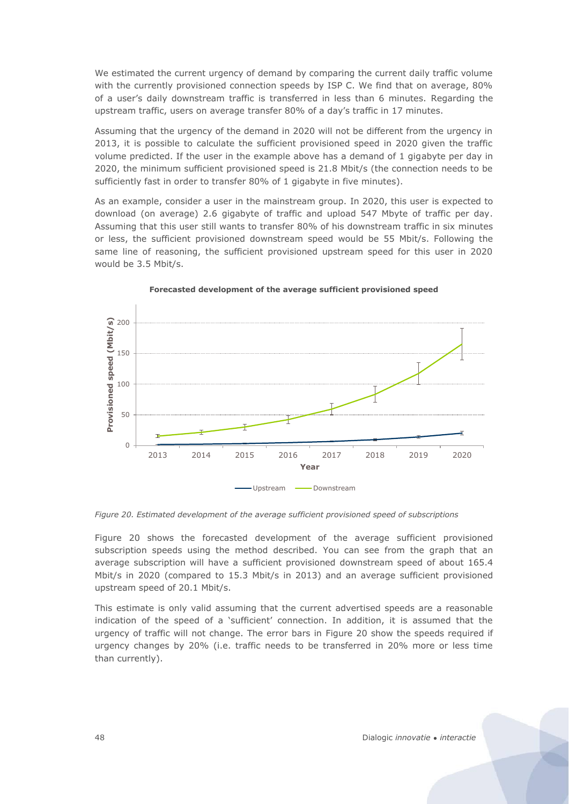We estimated the current urgency of demand by comparing the current daily traffic volume with the currently provisioned connection speeds by ISP C. We find that on average, 80% of a user's daily downstream traffic is transferred in less than 6 minutes. Regarding the upstream traffic, users on average transfer 80% of a day's traffic in 17 minutes.

Assuming that the urgency of the demand in 2020 will not be different from the urgency in 2013, it is possible to calculate the sufficient provisioned speed in 2020 given the traffic volume predicted. If the user in the example above has a demand of 1 gigabyte per day in 2020, the minimum sufficient provisioned speed is 21.8 Mbit/s (the connection needs to be sufficiently fast in order to transfer 80% of 1 gigabyte in five minutes).

As an example, consider a user in the mainstream group. In 2020, this user is expected to download (on average) 2.6 gigabyte of traffic and upload 547 Mbyte of traffic per day. Assuming that this user still wants to transfer 80% of his downstream traffic in six minutes or less, the sufficient provisioned downstream speed would be 55 Mbit/s. Following the same line of reasoning, the sufficient provisioned upstream speed for this user in 2020 would be 3.5 Mbit/s.



#### **Forecasted development of the average sufficient provisioned speed**

<span id="page-46-0"></span>*Figure 20. Estimated development of the average sufficient provisioned speed of subscriptions*

[Figure 20](#page-46-0) shows the forecasted development of the average sufficient provisioned subscription speeds using the method described. You can see from the graph that an average subscription will have a sufficient provisioned downstream speed of about 165.4 Mbit/s in 2020 (compared to 15.3 Mbit/s in 2013) and an average sufficient provisioned upstream speed of 20.1 Mbit/s.

This estimate is only valid assuming that the current advertised speeds are a reasonable indication of the speed of a 'sufficient' connection. In addition, it is assumed that the urgency of traffic will not change. The error bars in [Figure 20](#page-46-0) show the speeds required if urgency changes by 20% (i.e. traffic needs to be transferred in 20% more or less time than currently).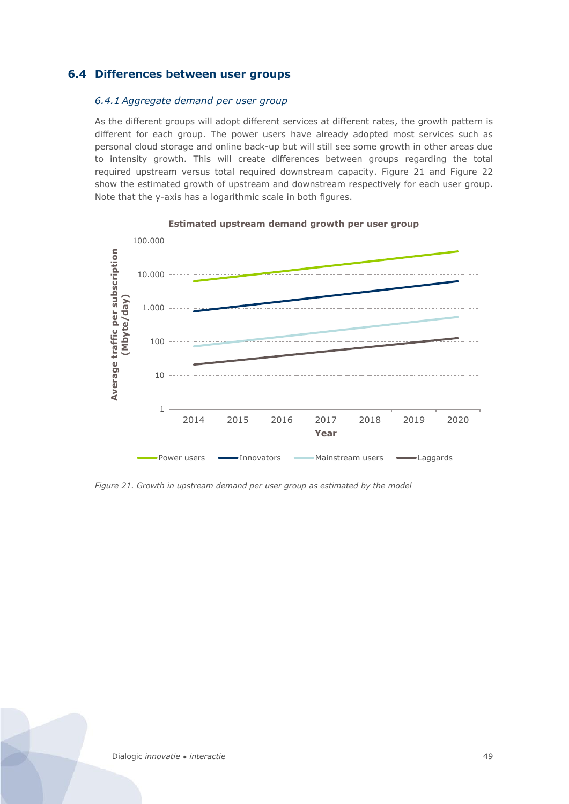# <span id="page-47-0"></span>**6.4 Differences between user groups**

#### *6.4.1 Aggregate demand per user group*

As the different groups will adopt different services at different rates, the growth pattern is different for each group. The power users have already adopted most services such as personal cloud storage and online back-up but will still see some growth in other areas due to intensity growth. This will create differences between groups regarding the total required upstream versus total required downstream capacity. [Figure 21](#page-47-1) and [Figure 22](#page-48-0) show the estimated growth of upstream and downstream respectively for each user group. Note that the y-axis has a logarithmic scale in both figures.



#### **Estimated upstream demand growth per user group**

<span id="page-47-1"></span>*Figure 21. Growth in upstream demand per user group as estimated by the model*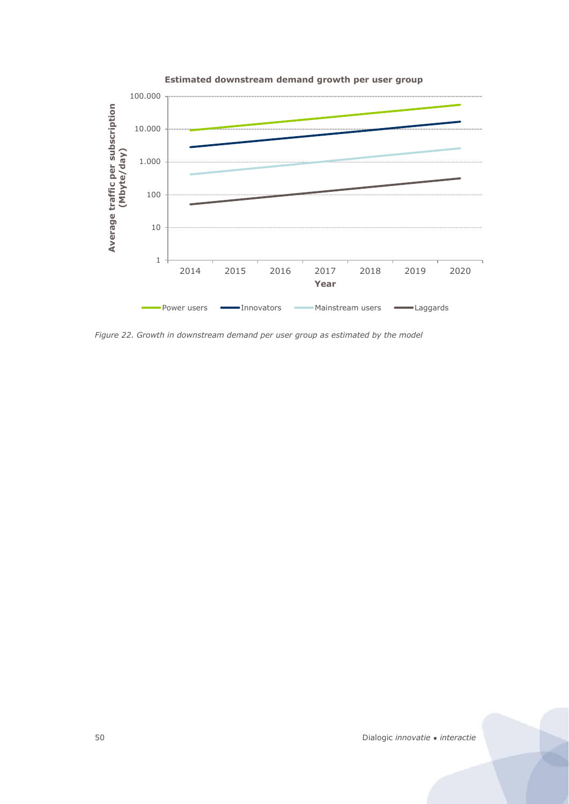

<span id="page-48-0"></span>*Figure 22. Growth in downstream demand per user group as estimated by the model*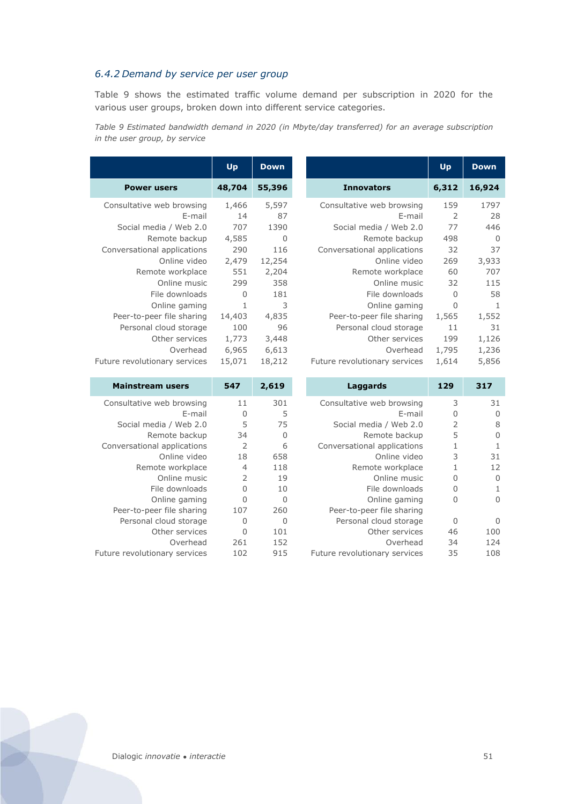### *6.4.2 Demand by service per user group*

[Table 9](#page-49-0) shows the estimated traffic volume demand per subscription in 2020 for the various user groups, broken down into different service categories.

<span id="page-49-0"></span>*Table 9 Estimated bandwidth demand in 2020 (in Mbyte/day transferred) for an average subscription in the user group, by service*

|                               | Up     | <b>Down</b> |                               | Up          | <b>Down</b> |
|-------------------------------|--------|-------------|-------------------------------|-------------|-------------|
| <b>Power users</b>            | 48,704 | 55,396      | <b>Innovators</b>             | 6,312       | 16,924      |
| Consultative web browsing     | 1,466  | 5,597       | Consultative web browsing     | 159         | 1797        |
| E-mail                        | 14     | 87          | E-mail                        | 2           | 28          |
| Social media / Web 2.0        | 707    | 1390        | Social media / Web 2.0        | 77          | 446         |
| Remote backup                 | 4,585  | 0           | Remote backup                 | 498         | 0           |
| Conversational applications   | 290    | 116         | Conversational applications   | 32          | 37          |
| Online video                  | 2,479  | 12,254      | Online video                  | 269         | 3,933       |
| Remote workplace              | 551    | 2,204       | Remote workplace              | 60          | 707         |
| Online music                  | 299    | 358         | Online music                  | 32          | 115         |
| File downloads                | 0      | 181         | File downloads                | 0           | 58          |
| Online gaming                 | 1      | 3           | Online gaming                 | $\mathbf 0$ | 1           |
| Peer-to-peer file sharing     | 14,403 | 4,835       | Peer-to-peer file sharing     | 1,565       | 1,552       |
| Personal cloud storage        | 100    | 96          | Personal cloud storage        | 11          | 31          |
| Other services                | 1,773  | 3,448       | Other services                | 199         | 1,126       |
| Overhead                      | 6,965  | 6,613       | Overhead                      | 1,795       | 1,236       |
| Future revolutionary services | 15,071 | 18,212      | Future revolutionary services | 1,614       | 5,856       |

| <b>Mainstream users</b>       | 547            | 2,619 | Laggards                      | 129            | 317 |
|-------------------------------|----------------|-------|-------------------------------|----------------|-----|
| Consultative web browsing     | 11             | 301   | Consultative web browsing     | 3              | 31  |
| E-mail                        | O              | 5     | E-mail                        | 0              |     |
| Social media / Web 2.0        | 5              | 75    | Social media / Web 2.0        | $\overline{2}$ | 8   |
| Remote backup                 | 34             | 0     | Remote backup                 | 5              | 0   |
| Conversational applications   | 2              | 6     | Conversational applications   |                |     |
| Online video                  | 18             | 658   | Online video                  | 3              | 31  |
| Remote workplace              | $\overline{4}$ | 118   | Remote workplace              |                | 12  |
| Online music                  | 2              | 19    | Online music                  | 0              | 0   |
| File downloads                | $\Omega$       | 10    | File downloads                | 0              |     |
| Online gaming                 | $\Omega$       | 0     | Online gaming                 | 0              | 0   |
| Peer-to-peer file sharing     | 107            | 260   | Peer-to-peer file sharing     |                |     |
| Personal cloud storage        | 0              | 0     | Personal cloud storage        | 0              | 0   |
| Other services                | $\Omega$       | 101   | Other services                | 46             | 100 |
| Overhead                      | 261            | 152   | Overhead                      | 34             | 124 |
| Future revolutionary services | 102            | 915   | Future revolutionary services | 35             | 108 |

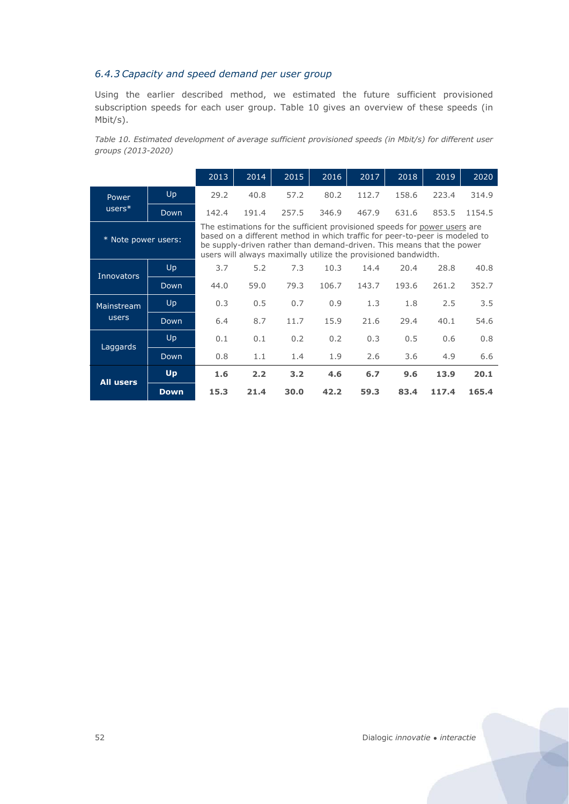### *6.4.3 Capacity and speed demand per user group*

Using the earlier described method, we estimated the future sufficient provisioned subscription speeds for each user group. [Table 10](#page-50-0) gives an overview of these speeds (in Mbit/s).

<span id="page-50-0"></span>*Table 10. Estimated development of average sufficient provisioned speeds (in Mbit/s) for different user groups (2013-2020)*

|                     |                                                                                                                                                                                                                                                                                                                                                                                | 2013  | 2014                                                                                                                                                                                                                                                                                                | 2015  | 2016  | 2017  | 2018  | 2019  | 2020   |
|---------------------|--------------------------------------------------------------------------------------------------------------------------------------------------------------------------------------------------------------------------------------------------------------------------------------------------------------------------------------------------------------------------------|-------|-----------------------------------------------------------------------------------------------------------------------------------------------------------------------------------------------------------------------------------------------------------------------------------------------------|-------|-------|-------|-------|-------|--------|
| Power               | Up                                                                                                                                                                                                                                                                                                                                                                             | 29.2  | 40.8                                                                                                                                                                                                                                                                                                | 57.2  | 80.2  | 112.7 | 158.6 | 223.4 | 314.9  |
| $users*$            | Down                                                                                                                                                                                                                                                                                                                                                                           | 142.4 | 191.4                                                                                                                                                                                                                                                                                               | 257.5 | 346.9 | 467.9 | 631.6 | 853.5 | 1154.5 |
| * Note power users: |                                                                                                                                                                                                                                                                                                                                                                                |       | The estimations for the sufficient provisioned speeds for power users are<br>based on a different method in which traffic for peer-to-peer is modeled to<br>be supply-driven rather than demand-driven. This means that the power<br>users will always maximally utilize the provisioned bandwidth. |       |       |       |       |       |        |
| <b>Innovators</b>   | Up                                                                                                                                                                                                                                                                                                                                                                             | 3.7   | 5.2                                                                                                                                                                                                                                                                                                 | 7.3   | 10.3  | 14.4  | 20.4  | 28.8  | 40.8   |
|                     | 59.0<br>79.3<br>106.7<br>44.0<br>143.7<br>193.6<br>Down<br>Up<br>0.3<br>0.5<br>0.7<br>0.9<br>1.3<br>1.8<br>8.7<br>15.9<br>Down<br>6.4<br>11.7<br>21.6<br>29.4<br>Up<br>0.1<br>0.1<br>0.2<br>0.2<br>0.3<br>0.5<br>Down<br>0.8<br>1.1<br>1.4<br>1.9<br>2.6<br>3.6<br>Up<br>1.6<br>2.2<br>3.2<br>6.7<br>4.6<br>9.6<br>15.3<br>21.4<br>30.0<br>42.2<br>83.4<br>59.3<br><b>Down</b> | 261.2 | 352.7                                                                                                                                                                                                                                                                                               |       |       |       |       |       |        |
| Mainstream          |                                                                                                                                                                                                                                                                                                                                                                                |       |                                                                                                                                                                                                                                                                                                     | 2.5   | 3.5   |       |       |       |        |
| users               |                                                                                                                                                                                                                                                                                                                                                                                |       |                                                                                                                                                                                                                                                                                                     |       |       |       |       | 40.1  | 54.6   |
| Laggards            |                                                                                                                                                                                                                                                                                                                                                                                |       |                                                                                                                                                                                                                                                                                                     |       |       |       |       | 0.6   | 0.8    |
|                     |                                                                                                                                                                                                                                                                                                                                                                                |       |                                                                                                                                                                                                                                                                                                     |       |       |       |       | 4.9   | 6.6    |
| <b>All users</b>    |                                                                                                                                                                                                                                                                                                                                                                                |       |                                                                                                                                                                                                                                                                                                     |       |       |       |       | 13.9  | 20.1   |
|                     |                                                                                                                                                                                                                                                                                                                                                                                |       |                                                                                                                                                                                                                                                                                                     |       |       |       |       | 117.4 | 165.4  |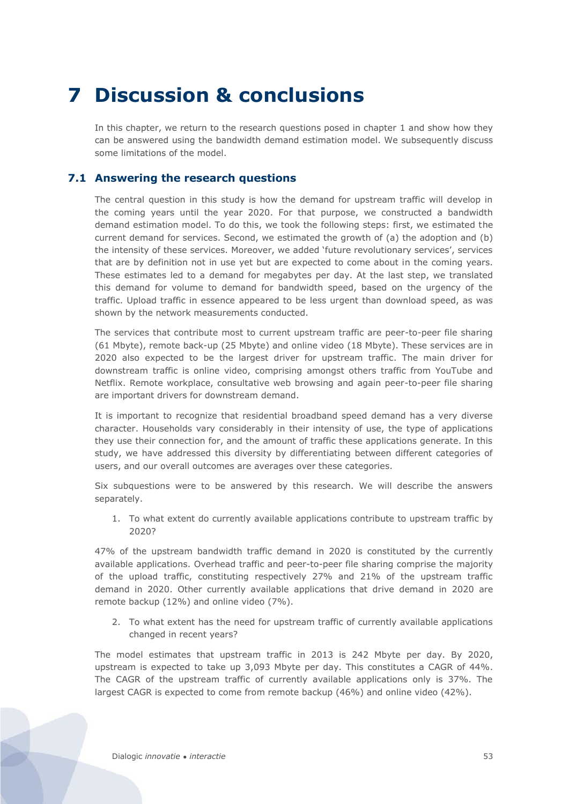# <span id="page-51-0"></span>**7 Discussion & conclusions**

In this chapter, we return to the research questions posed in chapter 1 and show how they can be answered using the bandwidth demand estimation model. We subsequently discuss some limitations of the model.

# <span id="page-51-1"></span>**7.1 Answering the research questions**

The central question in this study is how the demand for upstream traffic will develop in the coming years until the year 2020. For that purpose, we constructed a bandwidth demand estimation model. To do this, we took the following steps: first, we estimated the current demand for services. Second, we estimated the growth of (a) the adoption and (b) the intensity of these services. Moreover, we added 'future revolutionary services', services that are by definition not in use yet but are expected to come about in the coming years. These estimates led to a demand for megabytes per day. At the last step, we translated this demand for volume to demand for bandwidth speed, based on the urgency of the traffic. Upload traffic in essence appeared to be less urgent than download speed, as was shown by the network measurements conducted.

The services that contribute most to current upstream traffic are peer-to-peer file sharing (61 Mbyte), remote back-up (25 Mbyte) and online video (18 Mbyte). These services are in 2020 also expected to be the largest driver for upstream traffic. The main driver for downstream traffic is online video, comprising amongst others traffic from YouTube and Netflix. Remote workplace, consultative web browsing and again peer-to-peer file sharing are important drivers for downstream demand.

It is important to recognize that residential broadband speed demand has a very diverse character. Households vary considerably in their intensity of use, the type of applications they use their connection for, and the amount of traffic these applications generate. In this study, we have addressed this diversity by differentiating between different categories of users, and our overall outcomes are averages over these categories.

Six subquestions were to be answered by this research. We will describe the answers separately.

1. To what extent do currently available applications contribute to upstream traffic by 2020?

47% of the upstream bandwidth traffic demand in 2020 is constituted by the currently available applications. Overhead traffic and peer-to-peer file sharing comprise the majority of the upload traffic, constituting respectively 27% and 21% of the upstream traffic demand in 2020. Other currently available applications that drive demand in 2020 are remote backup (12%) and online video (7%).

2. To what extent has the need for upstream traffic of currently available applications changed in recent years?

The model estimates that upstream traffic in 2013 is 242 Mbyte per day. By 2020, upstream is expected to take up 3,093 Mbyte per day. This constitutes a CAGR of 44%. The CAGR of the upstream traffic of currently available applications only is 37%. The largest CAGR is expected to come from remote backup (46%) and online video (42%).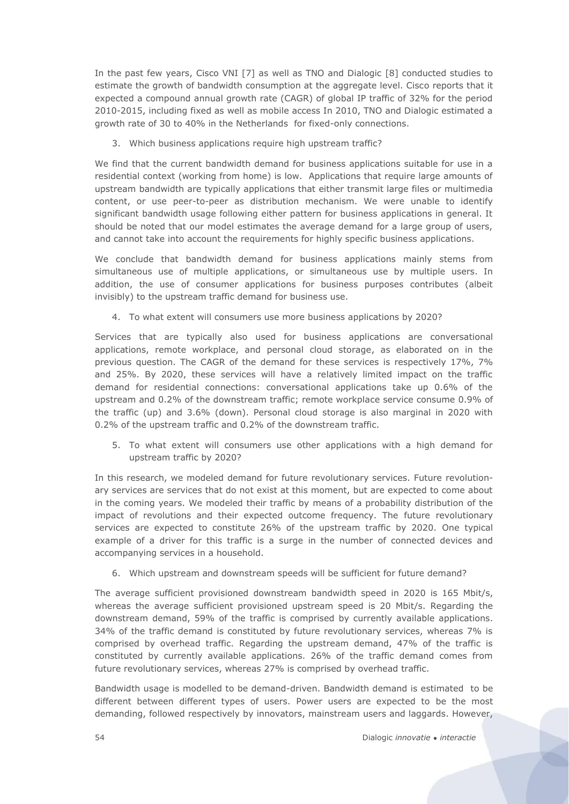In the past few years, Cisco VNI [\[7\]](#page-57-3) as well as TNO and Dialogic [\[8\]](#page-57-6) conducted studies to estimate the growth of bandwidth consumption at the aggregate level. Cisco reports that it expected a compound annual growth rate (CAGR) of global IP traffic of 32% for the period 2010-2015, including fixed as well as mobile access In 2010, TNO and Dialogic estimated a growth rate of 30 to 40% in the Netherlands for fixed-only connections.

3. Which business applications require high upstream traffic?

We find that the current bandwidth demand for business applications suitable for use in a residential context (working from home) is low. Applications that require large amounts of upstream bandwidth are typically applications that either transmit large files or multimedia content, or use peer-to-peer as distribution mechanism. We were unable to identify significant bandwidth usage following either pattern for business applications in general. It should be noted that our model estimates the average demand for a large group of users, and cannot take into account the requirements for highly specific business applications.

We conclude that bandwidth demand for business applications mainly stems from simultaneous use of multiple applications, or simultaneous use by multiple users. In addition, the use of consumer applications for business purposes contributes (albeit invisibly) to the upstream traffic demand for business use.

4. To what extent will consumers use more business applications by 2020?

Services that are typically also used for business applications are conversational applications, remote workplace, and personal cloud storage, as elaborated on in the previous question. The CAGR of the demand for these services is respectively 17%, 7% and 25%. By 2020, these services will have a relatively limited impact on the traffic demand for residential connections: conversational applications take up 0.6% of the upstream and 0.2% of the downstream traffic; remote workplace service consume 0.9% of the traffic (up) and 3.6% (down). Personal cloud storage is also marginal in 2020 with 0.2% of the upstream traffic and 0.2% of the downstream traffic.

5. To what extent will consumers use other applications with a high demand for upstream traffic by 2020?

In this research, we modeled demand for future revolutionary services. Future revolutionary services are services that do not exist at this moment, but are expected to come about in the coming years. We modeled their traffic by means of a probability distribution of the impact of revolutions and their expected outcome frequency. The future revolutionary services are expected to constitute 26% of the upstream traffic by 2020. One typical example of a driver for this traffic is a surge in the number of connected devices and accompanying services in a household.

6. Which upstream and downstream speeds will be sufficient for future demand?

The average sufficient provisioned downstream bandwidth speed in 2020 is 165 Mbit/s, whereas the average sufficient provisioned upstream speed is 20 Mbit/s. Regarding the downstream demand, 59% of the traffic is comprised by currently available applications. 34% of the traffic demand is constituted by future revolutionary services, whereas 7% is comprised by overhead traffic. Regarding the upstream demand, 47% of the traffic is constituted by currently available applications. 26% of the traffic demand comes from future revolutionary services, whereas 27% is comprised by overhead traffic.

Bandwidth usage is modelled to be demand-driven. Bandwidth demand is estimated to be different between different types of users. Power users are expected to be the most demanding, followed respectively by innovators, mainstream users and laggards. However,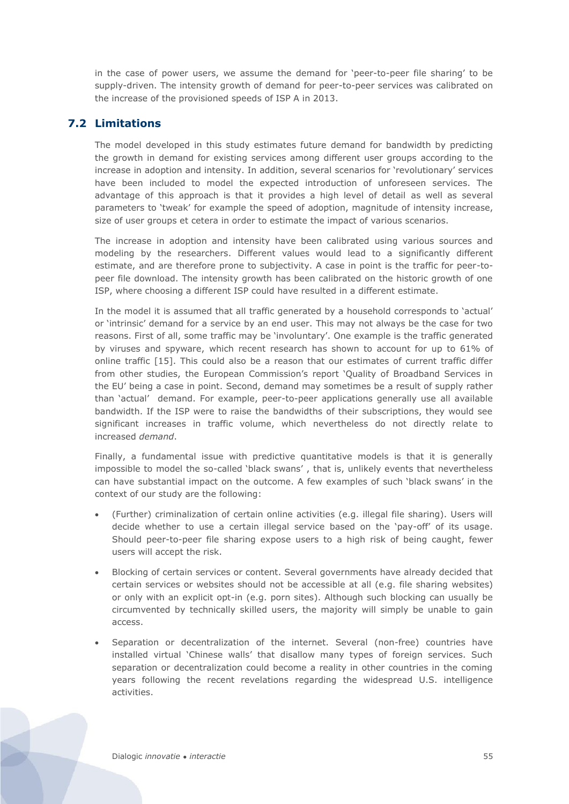in the case of power users, we assume the demand for 'peer-to-peer file sharing' to be supply-driven. The intensity growth of demand for peer-to-peer services was calibrated on the increase of the provisioned speeds of ISP A in 2013.

# <span id="page-53-0"></span>**7.2 Limitations**

The model developed in this study estimates future demand for bandwidth by predicting the growth in demand for existing services among different user groups according to the increase in adoption and intensity. In addition, several scenarios for 'revolutionary' services have been included to model the expected introduction of unforeseen services. The advantage of this approach is that it provides a high level of detail as well as several parameters to 'tweak' for example the speed of adoption, magnitude of intensity increase, size of user groups et cetera in order to estimate the impact of various scenarios.

The increase in adoption and intensity have been calibrated using various sources and modeling by the researchers. Different values would lead to a significantly different estimate, and are therefore prone to subjectivity. A case in point is the traffic for peer-topeer file download. The intensity growth has been calibrated on the historic growth of one ISP, where choosing a different ISP could have resulted in a different estimate.

In the model it is assumed that all traffic generated by a household corresponds to 'actual' or 'intrinsic' demand for a service by an end user. This may not always be the case for two reasons. First of all, some traffic may be 'involuntary'. One example is the traffic generated by viruses and spyware, which recent research has shown to account for up to 61% of online traffic [\[15\].](#page-57-15) This could also be a reason that our estimates of current traffic differ from other studies, the European Commission's report 'Quality of Broadband Services in the EU' being a case in point. Second, demand may sometimes be a result of supply rather than 'actual' demand. For example, peer-to-peer applications generally use all available bandwidth. If the ISP were to raise the bandwidths of their subscriptions, they would see significant increases in traffic volume, which nevertheless do not directly relate to increased *demand*.

Finally, a fundamental issue with predictive quantitative models is that it is generally impossible to model the so-called 'black swans' , that is, unlikely events that nevertheless can have substantial impact on the outcome. A few examples of such 'black swans' in the context of our study are the following:

- x (Further) criminalization of certain online activities (e.g. illegal file sharing). Users will decide whether to use a certain illegal service based on the 'pay-off' of its usage. Should peer-to-peer file sharing expose users to a high risk of being caught, fewer users will accept the risk.
- Blocking of certain services or content. Several governments have already decided that certain services or websites should not be accessible at all (e.g. file sharing websites) or only with an explicit opt-in (e.g. porn sites). Although such blocking can usually be circumvented by technically skilled users, the majority will simply be unable to gain access.
- Separation or decentralization of the internet. Several (non-free) countries have installed virtual 'Chinese walls' that disallow many types of foreign services. Such separation or decentralization could become a reality in other countries in the coming years following the recent revelations regarding the widespread U.S. intelligence activities.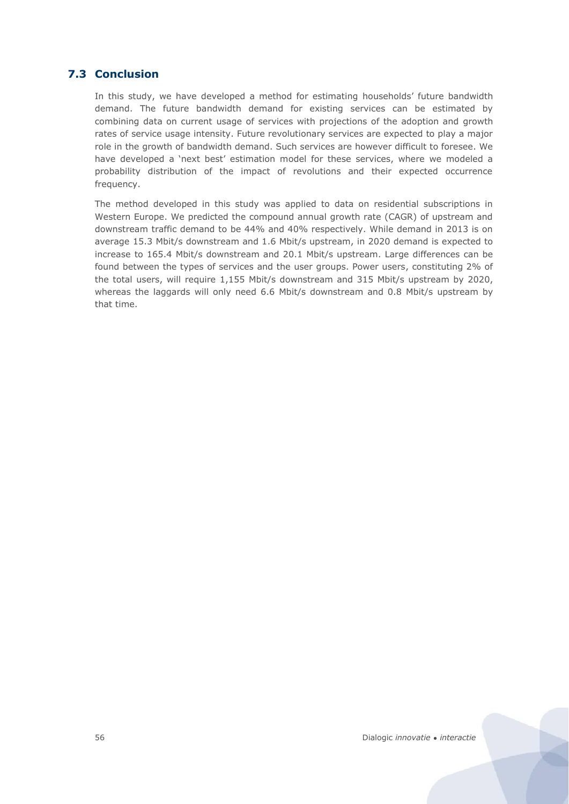# **7.3 Conclusion**

<span id="page-54-0"></span>In this study, we have developed a method for estimating households' future bandwidth demand. The future bandwidth demand for existing services can be estimated by combining data on current usage of services with projections of the adoption and growth rates of service usage intensity. Future revolutionary services are expected to play a major role in the growth of bandwidth demand. Such services are however difficult to foresee. We have developed a 'next best' estimation model for these services, where we modeled a probability distribution of the impact of revolutions and their expected occurrence frequency.

The method developed in this study was applied to data on residential subscriptions in Western Europe. We predicted the compound annual growth rate (CAGR) of upstream and downstream traffic demand to be 44% and 40% respectively. While demand in 2013 is on average 15.3 Mbit/s downstream and 1.6 Mbit/s upstream, in 2020 demand is expected to increase to 165.4 Mbit/s downstream and 20.1 Mbit/s upstream. Large differences can be found between the types of services and the user groups. Power users, constituting 2% of the total users, will require 1,155 Mbit/s downstream and 315 Mbit/s upstream by 2020, whereas the laggards will only need 6.6 Mbit/s downstream and 0.8 Mbit/s upstream by that time.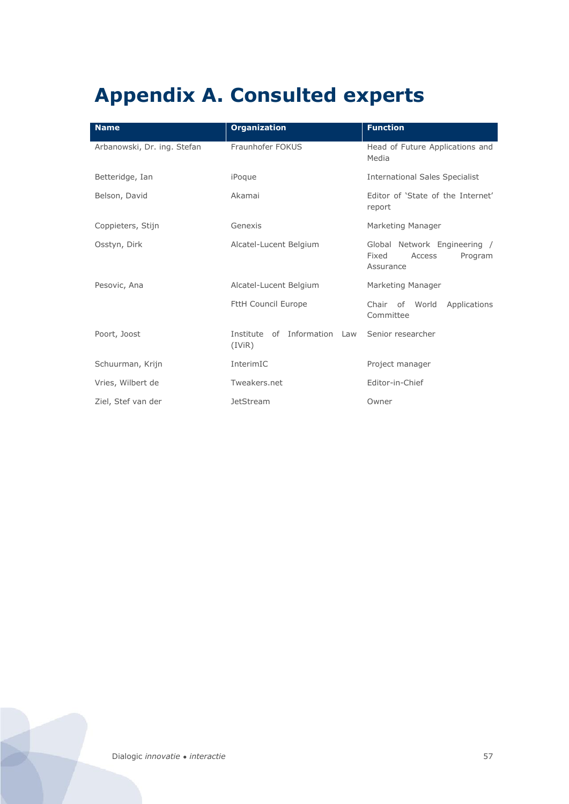# <span id="page-55-0"></span>**Appendix A. Consulted experts**

| <b>Name</b>                 | <b>Organization</b>                          | <b>Function</b>                                                         |
|-----------------------------|----------------------------------------------|-------------------------------------------------------------------------|
| Arbanowski, Dr. ing. Stefan | Fraunhofer FOKUS                             | Head of Future Applications and<br>Media                                |
| Betteridge, Ian             | iPoque                                       | <b>International Sales Specialist</b>                                   |
| Belson, David               | Akamai                                       | Editor of 'State of the Internet'<br>report                             |
| Coppieters, Stijn           | Genexis                                      | Marketing Manager                                                       |
| Osstyn, Dirk                | Alcatel-Lucent Belgium                       | Global Network Engineering /<br>Fixed<br>Access<br>Program<br>Assurance |
| Pesovic, Ana                | Alcatel-Lucent Belgium                       | Marketing Manager                                                       |
|                             | <b>FttH Council Europe</b>                   | Chair of World<br>Applications<br>Committee                             |
| Poort, Joost                | of Information<br>Institute<br>Law<br>(IViR) | Senior researcher                                                       |
| Schuurman, Krijn            | InterimIC                                    | Project manager                                                         |
| Vries, Wilbert de           | Tweakers.net                                 | Editor-in-Chief                                                         |
| Ziel, Stef van der          | <b>JetStream</b>                             | Owner                                                                   |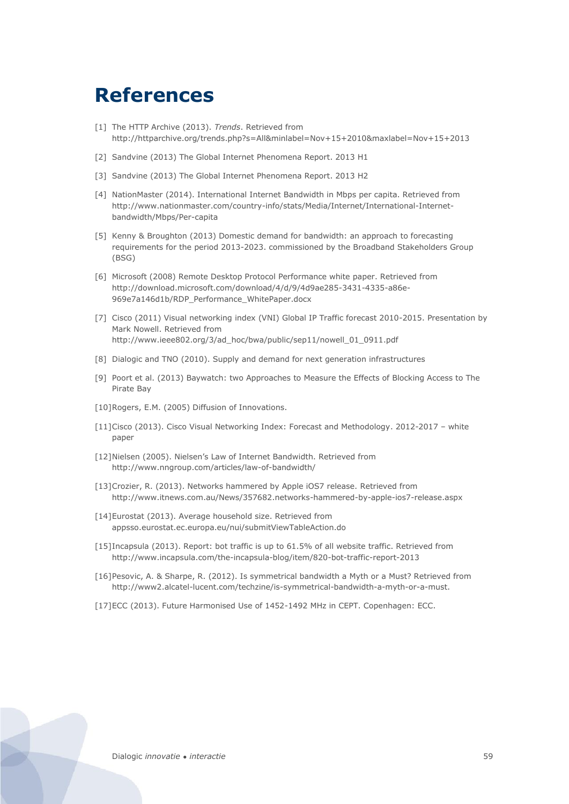# <span id="page-57-0"></span>**References**

- <span id="page-57-12"></span>[1] The HTTP Archive (2013). *Trends*. Retrieved from <http://httparchive.org/trends.php?s=All&minlabel=Nov+15+2010&maxlabel=Nov+15+2013>
- <span id="page-57-2"></span>[2] Sandvine (2013) The Global Internet Phenomena Report. 2013 H1
- <span id="page-57-8"></span>[3] Sandvine (2013) The Global Internet Phenomena Report. 2013 H2
- <span id="page-57-9"></span>[4] NationMaster (2014). International Internet Bandwidth in Mbps per capita. Retrieved from http://www.nationmaster.com/country-info/stats/Media/Internet/International-Internetbandwidth/Mbps/Per-capita
- [5] Kenny & Broughton (2013) Domestic demand for bandwidth: an approach to forecasting requirements for the period 2013-2023. commissioned by the Broadband Stakeholders Group (BSG)
- <span id="page-57-10"></span>[6] Microsoft (2008) Remote Desktop Protocol Performance white paper. Retrieved from [http://download.microsoft.com/download/4/d/9/4d9ae285-3431-4335-a86e-](http://download.microsoft.com/download/4/d/9/4d9ae285-3431-4335-a86e-969e7a146d1b/RDP_Performance_WhitePaper.docx)[969e7a146d1b/RDP\\_Performance\\_WhitePaper.docx](http://download.microsoft.com/download/4/d/9/4d9ae285-3431-4335-a86e-969e7a146d1b/RDP_Performance_WhitePaper.docx)
- <span id="page-57-3"></span>[7] Cisco (2011) Visual networking index (VNI) Global IP Traffic forecast 2010-2015. Presentation by Mark Nowell. Retrieved from [http://www.ieee802.org/3/ad\\_hoc/bwa/public/sep11/nowell\\_01\\_0911.pdf](http://www.ieee802.org/3/ad_hoc/bwa/public/sep11/nowell_01_0911.pdf)
- <span id="page-57-6"></span>[8] Dialogic and TNO (2010). Supply and demand for next generation infrastructures
- <span id="page-57-11"></span>[9] Poort et al. (2013) Baywatch: two Approaches to Measure the Effects of Blocking Access to The Pirate Bay
- <span id="page-57-4"></span>[10]Rogers, E.M. (2005) Diffusion of Innovations.
- [11]Cisco (2013). Cisco Visual Networking Index: Forecast and Methodology. 2012-2017 white paper
- <span id="page-57-5"></span>[12]Nielsen (2005). Nielsen's Law of Internet Bandwidth. Retrieved from <http://www.nngroup.com/articles/law-of-bandwidth/>
- <span id="page-57-1"></span>[13]Crozier, R. (2013). Networks hammered by Apple iOS7 release. Retrieved from [http://www.itnews.com.au/News/357682.networks-hammered-by-apple-ios7-release.aspx](http://www.itnews.com.au/News/357682,networks-hammered-by-apple-ios7-release.aspx)
- <span id="page-57-13"></span>[14]Eurostat (2013). Average household size. Retrieved from appsso.eurostat.ec.europa.eu/nui/submitViewTableAction.do
- <span id="page-57-15"></span>[15]Incapsula (2013). Report: bot traffic is up to 61.5% of all website traffic. Retrieved from <http://www.incapsula.com/the-incapsula-blog/item/820-bot-traffic-report-2013>
- <span id="page-57-14"></span>[16]Pesovic, A. & Sharpe, R. (2012). Is symmetrical bandwidth a Myth or a Must? Retrieved from [http://www2.alcatel-lucent.com/techzine/is-symmetrical-bandwidth-a-myth-or-a-must.](http://www2.alcatel-lucent.com/techzine/is-symmetrical-bandwidth-a-myth-or-a-must)
- <span id="page-57-7"></span>[17]ECC (2013). Future Harmonised Use of 1452-1492 MHz in CEPT. Copenhagen: ECC.